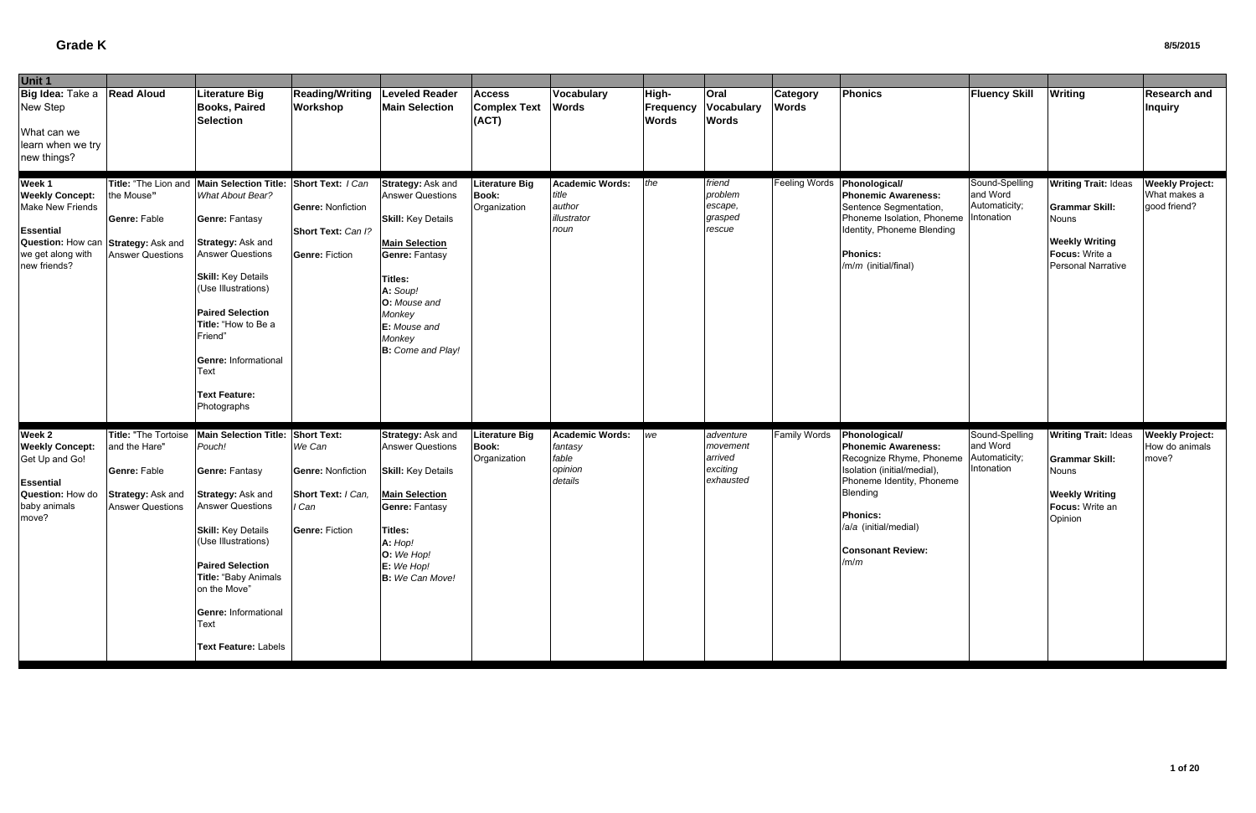| Unit 1                                                                                                                             |                                                                                                       |                                                                                                                                                                                                                                                                                                                          |                                                                                                                  |                                                                                                                                                                                                                             |                                                       |                                                                  |                                    |                                                           |                                 |                                                                                                                                                                                                                                               |                                             |                                                                                                                                       |                                                        |
|------------------------------------------------------------------------------------------------------------------------------------|-------------------------------------------------------------------------------------------------------|--------------------------------------------------------------------------------------------------------------------------------------------------------------------------------------------------------------------------------------------------------------------------------------------------------------------------|------------------------------------------------------------------------------------------------------------------|-----------------------------------------------------------------------------------------------------------------------------------------------------------------------------------------------------------------------------|-------------------------------------------------------|------------------------------------------------------------------|------------------------------------|-----------------------------------------------------------|---------------------------------|-----------------------------------------------------------------------------------------------------------------------------------------------------------------------------------------------------------------------------------------------|---------------------------------------------|---------------------------------------------------------------------------------------------------------------------------------------|--------------------------------------------------------|
| Big Idea: Take a<br>New Step<br>What can we<br>learn when we try                                                                   | <b>Read Aloud</b>                                                                                     | <b>Literature Big</b><br><b>Books, Paired</b><br><b>Selection</b>                                                                                                                                                                                                                                                        | <b>Reading/Writing</b><br>Workshop                                                                               | <b>Leveled Reader</b><br><b>Main Selection</b>                                                                                                                                                                              | <b>Access</b><br><b>Complex Text</b><br>(ACT)         | Vocabulary<br><b>Words</b>                                       | High-<br>Frequency<br><b>Words</b> | <b>Oral</b><br><b>Vocabulary</b><br><b>Words</b>          | <b>Category</b><br><b>Words</b> | Phonics                                                                                                                                                                                                                                       | <b>Fluency Skill</b>                        | <b>Writing</b>                                                                                                                        | <b>Research and</b><br><b>Inquiry</b>                  |
| new things?                                                                                                                        |                                                                                                       |                                                                                                                                                                                                                                                                                                                          |                                                                                                                  |                                                                                                                                                                                                                             |                                                       |                                                                  |                                    |                                                           |                                 |                                                                                                                                                                                                                                               |                                             |                                                                                                                                       |                                                        |
| Week 1<br><b>Weekly Concept:</b><br>Make New Friends<br><b>Essential</b><br>Question: How can<br>we get along with<br>new friends? | Title: "The Lion and<br>the Mouse"<br>Genre: Fable<br>Strategy: Ask and<br><b>Answer Questions</b>    | <b>Main Selection Title:</b><br>What About Bear?<br><b>Genre: Fantasy</b><br>Strategy: Ask and<br><b>Answer Questions</b><br><b>Skill:</b> Key Details<br>(Use Illustrations)<br><b>Paired Selection</b><br>Title: "How to Be a<br>Friend"<br><b>Genre: Informational</b><br>Text<br><b>Text Feature:</b><br>Photographs | Short Text: I Can<br><b>Genre: Nonfiction</b><br>Short Text: Can I?<br><b>Genre: Fiction</b>                     | Strategy: Ask and<br><b>Answer Questions</b><br><b>Skill: Key Details</b><br><b>Main Selection</b><br>Genre: Fantasy<br>Titles:<br>A: Soup!<br>O: Mouse and<br>Monkey<br>E: Mouse and<br>Monkey<br><b>B:</b> Come and Play! | <b>Literature Big</b><br><b>Book:</b><br>Organization | <b>Academic Words:</b><br>title<br>author<br>illustrator<br>noun | the                                | friend<br>problem<br>escape,<br>grasped<br>rescue         | <b>Feeling Words</b>            | Phonological/<br><b>Phonemic Awareness:</b><br>Sentence Segmentation,<br>Phoneme Isolation, Phoneme Intonation<br>Identity, Phoneme Blending<br><b>Phonics:</b><br>/m/m (initial/final)                                                       | Sound-Spelling<br>and Word<br>Automaticity; | <b>Writing Trait: Ideas</b><br><b>Grammar Skill:</b><br><b>Nouns</b><br><b>Weekly Writing</b><br>Focus: Write a<br>Personal Narrative | <b>Weekly Project:</b><br>What makes a<br>good friend? |
| Week 2<br><b>Weekly Concept:</b><br>Get Up and Go!<br>Essential<br>Question: How do<br>baby animals<br>move?                       | Title: "The Tortoise<br>and the Hare"<br>Genre: Fable<br>Strategy: Ask and<br><b>Answer Questions</b> | <b>Main Selection Title:</b><br>Pouch!<br><b>Genre: Fantasy</b><br>Strategy: Ask and<br><b>Answer Questions</b><br><b>Skill: Key Details</b><br>(Use Illustrations)<br><b>Paired Selection</b><br>Title: "Baby Animals<br>on the Move"<br>Genre: Informational<br>Text<br>Text Feature: Labels                           | <b>Short Text:</b><br>We Can<br><b>Genre: Nonfiction</b><br>Short Text: / Can,<br>I Can<br><b>Genre: Fiction</b> | <b>Strategy: Ask and</b><br><b>Answer Questions</b><br><b>Skill: Key Details</b><br><b>Main Selection</b><br><b>Genre: Fantasy</b><br><b>Titles:</b><br>A: Hop!<br>O: We Hop!<br>E: We Hop!<br>B: We Can Move!              | <b>Literature Big</b><br><b>Book:</b><br>Organization | <b>Academic Words:</b><br>fantasy<br>fable<br>opinion<br>details | we                                 | adventure<br>movement<br>arrived<br>exciting<br>exhausted | <b>Family Words</b>             | Phonological/<br><b>Phonemic Awareness:</b><br>Recognize Rhyme, Phoneme Automaticity;<br>Isolation (initial/medial),<br>Phoneme Identity, Phoneme<br>Blending<br><b>Phonics:</b><br>/a/a (initial/medial)<br><b>Consonant Review:</b><br>/m/m | Sound-Spelling<br>and Word<br>Intonation    | <b>Writing Trait: Ideas</b><br><b>Grammar Skill:</b><br>Nouns<br><b>Weekly Writing</b><br>Focus: Write an<br>Opinion                  | <b>Weekly Project:</b><br>How do animals<br>move?      |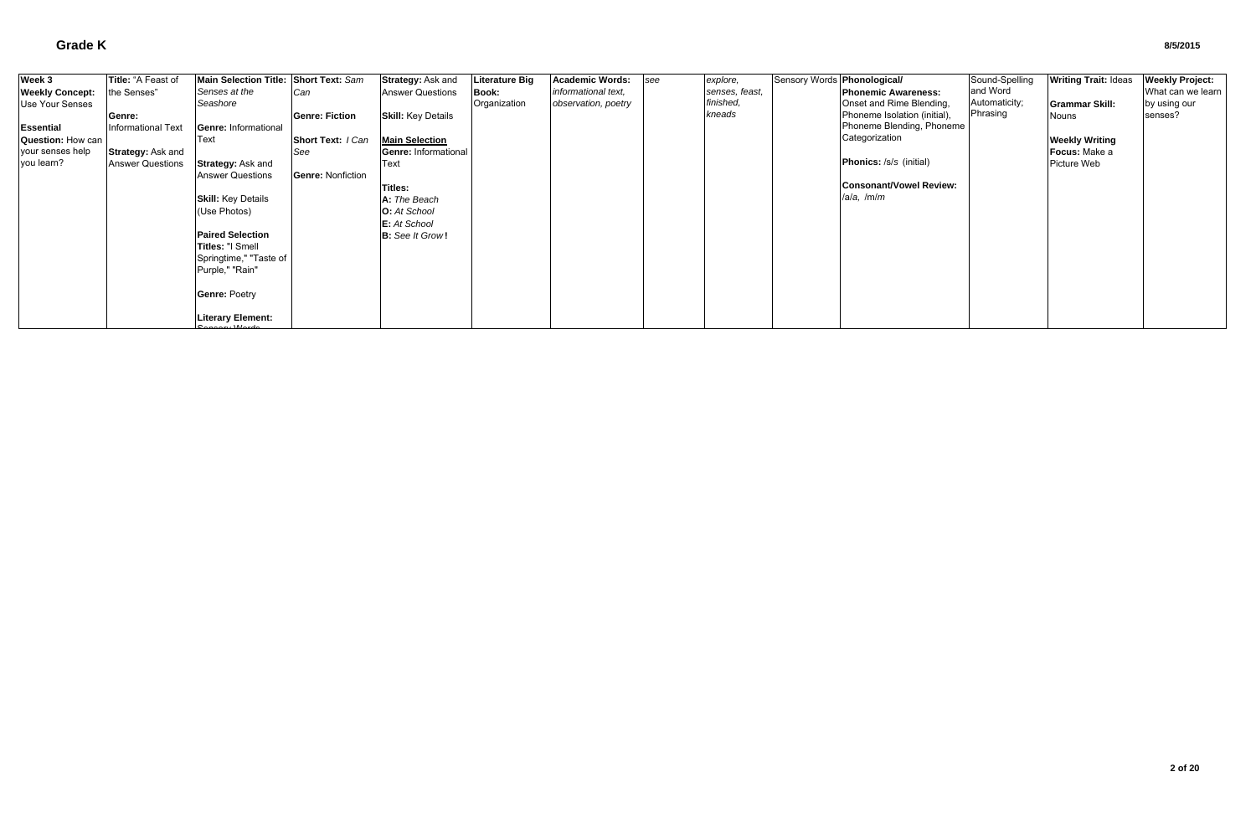| Week 3                         | Title: "A Feast of      | Main Selection Title: Short Text: Sam |                          | Strategy: Ask and           | <b>Literature Big</b> | <b>Academic Words:</b> | see | explore,       | Sensory Words <b>Phonological/</b> |                                | Sound-Spelling | <b>Writing Trait: Ideas</b> | <b>Weekly Project:</b> |
|--------------------------------|-------------------------|---------------------------------------|--------------------------|-----------------------------|-----------------------|------------------------|-----|----------------|------------------------------------|--------------------------------|----------------|-----------------------------|------------------------|
| <b>Weekly Concept:</b>         | the Senses"             | Senses at the                         | Can                      | <b>Answer Questions</b>     | <b>Book:</b>          | informational text,    |     | senses, feast, |                                    | <b>Phonemic Awareness:</b>     | and Word       |                             | What can we learn      |
| Use Your Senses                |                         | Seashore                              |                          |                             | Organization          | observation, poetry    |     | finished,      |                                    | Onset and Rime Blending,       | Automaticity;  | <b>IGrammar Skill:</b>      | by using our           |
|                                | Genre:                  |                                       | <b>Genre: Fiction</b>    | <b>Skill: Key Details</b>   |                       |                        |     | kneads         |                                    | Phoneme Isolation (initial),   | Phrasing       | Nouns                       | senses?                |
| <b>Essential</b>               | Informational Text      | Genre: Informational                  |                          |                             |                       |                        |     |                |                                    | Phoneme Blending, Phoneme      |                |                             |                        |
| Question: How can              |                         | Text                                  | Short Text: I Can        | <b>Main Selection</b>       |                       |                        |     |                |                                    | Categorization                 |                | <b>Weekly Writing</b>       |                        |
|                                |                         |                                       | <b>See</b>               | <b>Genre: Informational</b> |                       |                        |     |                |                                    |                                |                | Focus: Make a               |                        |
| your senses help<br>you learn? | Strategy: Ask and       | <b>Strategy: Ask and</b>              |                          |                             |                       |                        |     |                |                                    | <b>Phonics:</b> /s/s (initial) |                | Picture Web                 |                        |
|                                | <b>Answer Questions</b> | <b>Answer Questions</b>               |                          | Text                        |                       |                        |     |                |                                    |                                |                |                             |                        |
|                                |                         |                                       | <b>Genre: Nonfiction</b> |                             |                       |                        |     |                |                                    | <b>Consonant/Vowel Review:</b> |                |                             |                        |
|                                |                         |                                       |                          | Titles:                     |                       |                        |     |                |                                    | $/$ a/a, $/m/m$                |                |                             |                        |
|                                |                         | <b>Skill: Key Details</b>             |                          | A: The Beach                |                       |                        |     |                |                                    |                                |                |                             |                        |
|                                |                         | (Use Photos)                          |                          | <b>O:</b> At School         |                       |                        |     |                |                                    |                                |                |                             |                        |
|                                |                         |                                       |                          | E: At School                |                       |                        |     |                |                                    |                                |                |                             |                        |
|                                |                         | <b>Paired Selection</b>               |                          | <b>B:</b> See It Grow!      |                       |                        |     |                |                                    |                                |                |                             |                        |
|                                |                         | Titles: "I Smell                      |                          |                             |                       |                        |     |                |                                    |                                |                |                             |                        |
|                                |                         | Springtime," "Taste of                |                          |                             |                       |                        |     |                |                                    |                                |                |                             |                        |
|                                |                         | Purple," "Rain"                       |                          |                             |                       |                        |     |                |                                    |                                |                |                             |                        |
|                                |                         |                                       |                          |                             |                       |                        |     |                |                                    |                                |                |                             |                        |
|                                |                         | <b>Genre: Poetry</b>                  |                          |                             |                       |                        |     |                |                                    |                                |                |                             |                        |
|                                |                         |                                       |                          |                             |                       |                        |     |                |                                    |                                |                |                             |                        |
|                                |                         |                                       |                          |                             |                       |                        |     |                |                                    |                                |                |                             |                        |
|                                |                         | <b>Literary Element:</b>              |                          |                             |                       |                        |     |                |                                    |                                |                |                             |                        |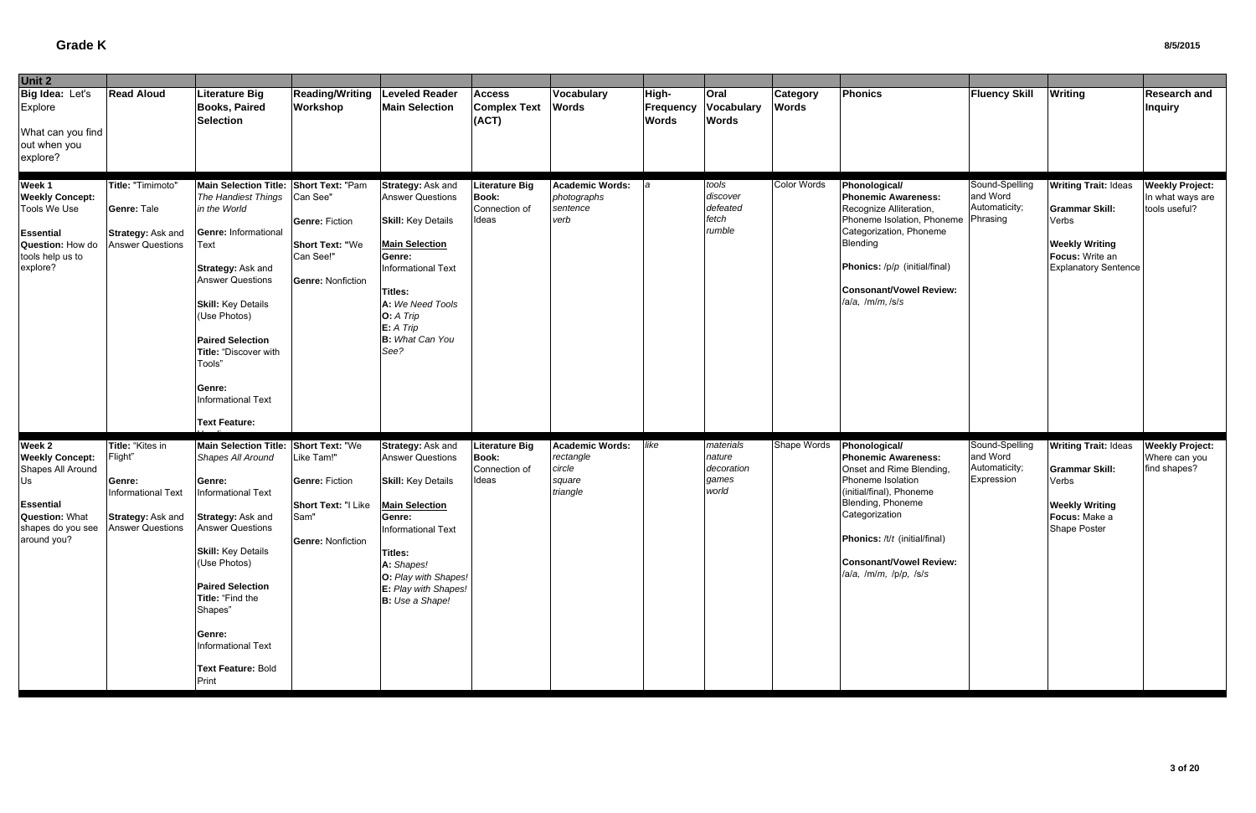| Unit 2                                                                                                                                                 |                                                                                                |                                                                                                                                                                                                                                                                                                                                          |                                                                                                      |                                                                                                                                                                                                                                               |                                                                 |                                                                     |                                    |                                                     |                                 |                                                                                                                                                                                                                                                              |                                                           |                                                                                                                                          |                                                             |
|--------------------------------------------------------------------------------------------------------------------------------------------------------|------------------------------------------------------------------------------------------------|------------------------------------------------------------------------------------------------------------------------------------------------------------------------------------------------------------------------------------------------------------------------------------------------------------------------------------------|------------------------------------------------------------------------------------------------------|-----------------------------------------------------------------------------------------------------------------------------------------------------------------------------------------------------------------------------------------------|-----------------------------------------------------------------|---------------------------------------------------------------------|------------------------------------|-----------------------------------------------------|---------------------------------|--------------------------------------------------------------------------------------------------------------------------------------------------------------------------------------------------------------------------------------------------------------|-----------------------------------------------------------|------------------------------------------------------------------------------------------------------------------------------------------|-------------------------------------------------------------|
| Big Idea: Let's<br>Explore<br>What can you find<br>out when you<br>explore?                                                                            | <b>Read Aloud</b>                                                                              | Literature Big<br><b>Books, Paired</b><br><b>Selection</b>                                                                                                                                                                                                                                                                               | <b>Reading/Writing</b><br>Workshop                                                                   | <b>Leveled Reader</b><br><b>Main Selection</b>                                                                                                                                                                                                | <b>Access</b><br><b>Complex Text</b><br>(ACT)                   | Vocabulary<br><b>Words</b>                                          | High-<br>Frequency<br><b>Words</b> | <b>Oral</b><br>Vocabulary<br><b>Words</b>           | <b>Category</b><br><b>Words</b> | <b>Phonics</b>                                                                                                                                                                                                                                               | <b>Fluency Skill</b>                                      | <b>Writing</b>                                                                                                                           | <b>Research and</b><br><b>Inquiry</b>                       |
| Week 1<br><b>Weekly Concept:</b><br>Tools We Use<br><b>Essential</b><br>Question: How do<br>tools help us to<br>explore?                               | Title: "Timimoto"<br>Genre: Tale<br><b>Strategy: Ask and</b><br><b>Answer Questions</b>        | Main Selection Title: Short Text: "Pam<br>The Handiest Things<br>in the World<br>Genre: Informational<br>Text<br>Strategy: Ask and<br><b>Answer Questions</b><br><b>Skill:</b> Key Details<br>(Use Photos)<br><b>Paired Selection</b><br>Title: "Discover with<br>Tools"<br>Genre:<br><b>Informational Text</b>                          | Can See"<br><b>Genre: Fiction</b><br><b>Short Text: "We</b><br>Can See!"<br><b>Genre: Nonfiction</b> | Strategy: Ask and<br><b>Answer Questions</b><br><b>Skill:</b> Key Details<br><b>Main Selection</b><br>Genre:<br><b>Informational Text</b><br><b>Titles:</b><br>A: We Need Tools<br>O: A Trip<br>$E: A$ Trip<br><b>B:</b> What Can You<br>See? | <b>Literature Big</b><br><b>Book:</b><br>Connection of<br>Ideas | <b>Academic Words:</b><br>photographs<br>sentence<br>verb           |                                    | tools<br>discover<br>defeated<br>fetch<br>rumble    | Color Words                     | Phonological/<br><b>Phonemic Awareness:</b><br>Recognize Alliteration,<br>Phoneme Isolation, Phoneme Phrasing<br>Categorization, Phoneme<br>Blending<br>Phonics: /p/p (initial/final)<br>Consonant/Vowel Review:<br>/a/a, /m/m,/s/s                          | Sound-Spelling<br>and Word<br>Automaticity;               | <b>Writing Trait: Ideas</b><br><b>Grammar Skill:</b><br>Verbs<br><b>Weekly Writing</b><br>Focus: Write an<br><b>Explanatory Sentence</b> | <b>Weekly Project:</b><br>In what ways are<br>tools useful? |
| Week 2<br><b>Weekly Concept:</b><br>Shapes All Around<br>Us<br>Essential<br><b>Question: What</b><br>shapes do you see Answer Questions<br>around you? | Title: "Kites in<br>Flight"<br>Genre:<br><b>Informational Text</b><br><b>Strategy: Ask and</b> | <b>Text Feature:</b><br>Main Selection Title: Short Text: "We<br>Shapes All Around<br>Genre:<br>Informational Text<br>Strategy: Ask and<br><b>Answer Questions</b><br><b>Skill: Key Details</b><br>(Use Photos)<br><b>Paired Selection</b><br>Title: "Find the<br>Shapes"<br>Genre:<br>Informational Text<br>Text Feature: Bold<br>Print | Like Tam!"<br><b>Genre: Fiction</b><br>Short Text: "I Like<br>Sam"<br><b>Genre: Nonfiction</b>       | Strategy: Ask and<br><b>Answer Questions</b><br><b>Skill: Key Details</b><br><b>Main Selection</b><br>Genre:<br>Informational Text<br><b>Titles:</b><br>A: Shapes!<br>O: Play with Shapes!<br>E: Play with Shapes!<br><b>B:</b> Use a Shape!  | <b>Literature Big</b><br><b>Book:</b><br>Connection of<br>Ideas | <b>Academic Words:</b><br>rectangle<br>circle<br>square<br>triangle | like                               | materials<br>nature<br>decoration<br>games<br>world | Shape Words                     | <b>Phonological/</b><br><b>Phonemic Awareness:</b><br>Onset and Rime Blending,<br>Phoneme Isolation<br>(initial/final), Phoneme<br>Blending, Phoneme<br>Categorization<br>Phonics: /t/t (initial/final)<br>Consonant/Vowel Review:<br>/a/a, /m/m, /p/p, /s/s | Sound-Spelling<br>and Word<br>Automaticity;<br>Expression | <b>Writing Trait: Ideas</b><br><b>Grammar Skill:</b><br>Verbs<br><b>Weekly Writing</b><br>Focus: Make a<br><b>Shape Poster</b>           | <b>Weekly Project:</b><br>Where can you<br>find shapes?     |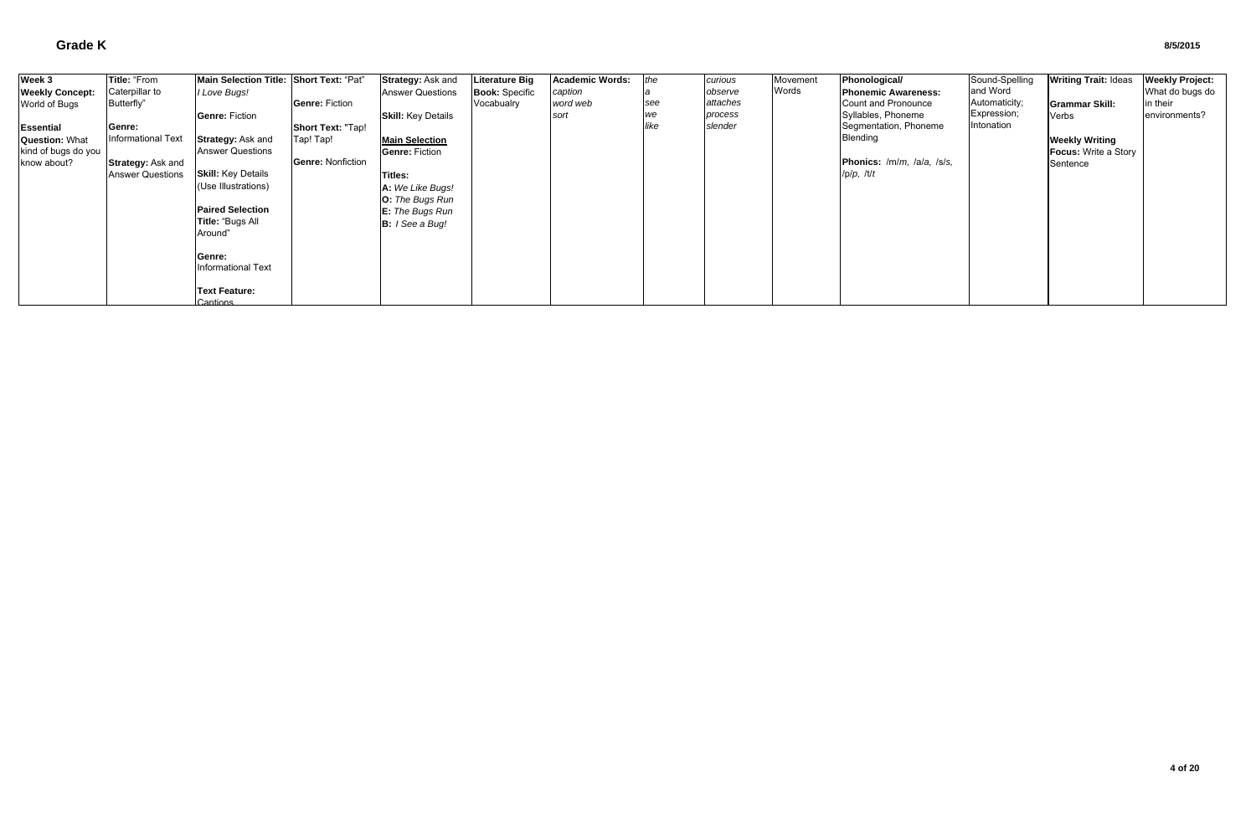| Week 3                 | Title: "From            | Main Selection Title: Short Text: "Pat" |                          | Strategy: Ask and         | Literature Big        | <b>Academic Words:</b> | the  | curious  | Movement | Phonological/              | Sound-Spelling | <b>Writing Trait: Ideas</b> | <b>Weekly Project:</b> |
|------------------------|-------------------------|-----------------------------------------|--------------------------|---------------------------|-----------------------|------------------------|------|----------|----------|----------------------------|----------------|-----------------------------|------------------------|
| <b>Weekly Concept:</b> | Caterpillar to          | I Love Bugs!                            |                          | <b>Answer Questions</b>   | <b>Book: Specific</b> | caption                |      | observe  | Words    | <b>Phonemic Awareness:</b> | and Word       |                             | What do bugs do        |
| World of Bugs          | Butterfly"              |                                         | Genre: Fiction           |                           | Vocabualry            | word web               | see  | attaches |          | Count and Pronounce        | Automaticity;  | <b>IGrammar Skill:</b>      | in their               |
|                        |                         | <b>Genre: Fiction</b>                   |                          | <b>Skill:</b> Key Details |                       | sort                   | we   | process  |          | Syllables, Phoneme         | Expression;    | Verbs                       | environments?          |
| <b>Essential</b>       | Genre:                  |                                         | <b>Short Text: "Tap!</b> |                           |                       |                        | like | slender  |          | Segmentation, Phoneme      | Intonation     |                             |                        |
| <b>Question: What</b>  | Informational Text      | <b>Strategy: Ask and</b>                | Tap! Tap!                | <b>Main Selection</b>     |                       |                        |      |          |          | <b>Blending</b>            |                | <b>Weekly Writing</b>       |                        |
| kind of bugs do you    |                         | <b>Answer Questions</b>                 |                          | <b>Genre: Fiction</b>     |                       |                        |      |          |          |                            |                | <b>Focus: Write a Story</b> |                        |
| know about?            | Strategy: Ask and       |                                         | <b>Genre: Nonfiction</b> |                           |                       |                        |      |          |          | Phonics: /m/m, /a/a, /s/s, |                | Sentence                    |                        |
|                        | <b>Answer Questions</b> | <b>Skill:</b> Key Details               |                          | Titles:                   |                       |                        |      |          |          | /p/p, /t/t                 |                |                             |                        |
|                        |                         | (Use Illustrations)                     |                          | A: We Like Bugs!          |                       |                        |      |          |          |                            |                |                             |                        |
|                        |                         |                                         |                          | O: The Bugs Run           |                       |                        |      |          |          |                            |                |                             |                        |
|                        |                         | <b>Paired Selection</b>                 |                          | E: The Bugs Run           |                       |                        |      |          |          |                            |                |                             |                        |
|                        |                         | Title: "Bugs All                        |                          | <b>B:</b> I See a Bug!    |                       |                        |      |          |          |                            |                |                             |                        |
|                        |                         | Around"                                 |                          |                           |                       |                        |      |          |          |                            |                |                             |                        |
|                        |                         | Genre:                                  |                          |                           |                       |                        |      |          |          |                            |                |                             |                        |
|                        |                         | Informational Text                      |                          |                           |                       |                        |      |          |          |                            |                |                             |                        |
|                        |                         |                                         |                          |                           |                       |                        |      |          |          |                            |                |                             |                        |
|                        |                         | <b>Text Feature:</b>                    |                          |                           |                       |                        |      |          |          |                            |                |                             |                        |
|                        |                         | Captions                                |                          |                           |                       |                        |      |          |          |                            |                |                             |                        |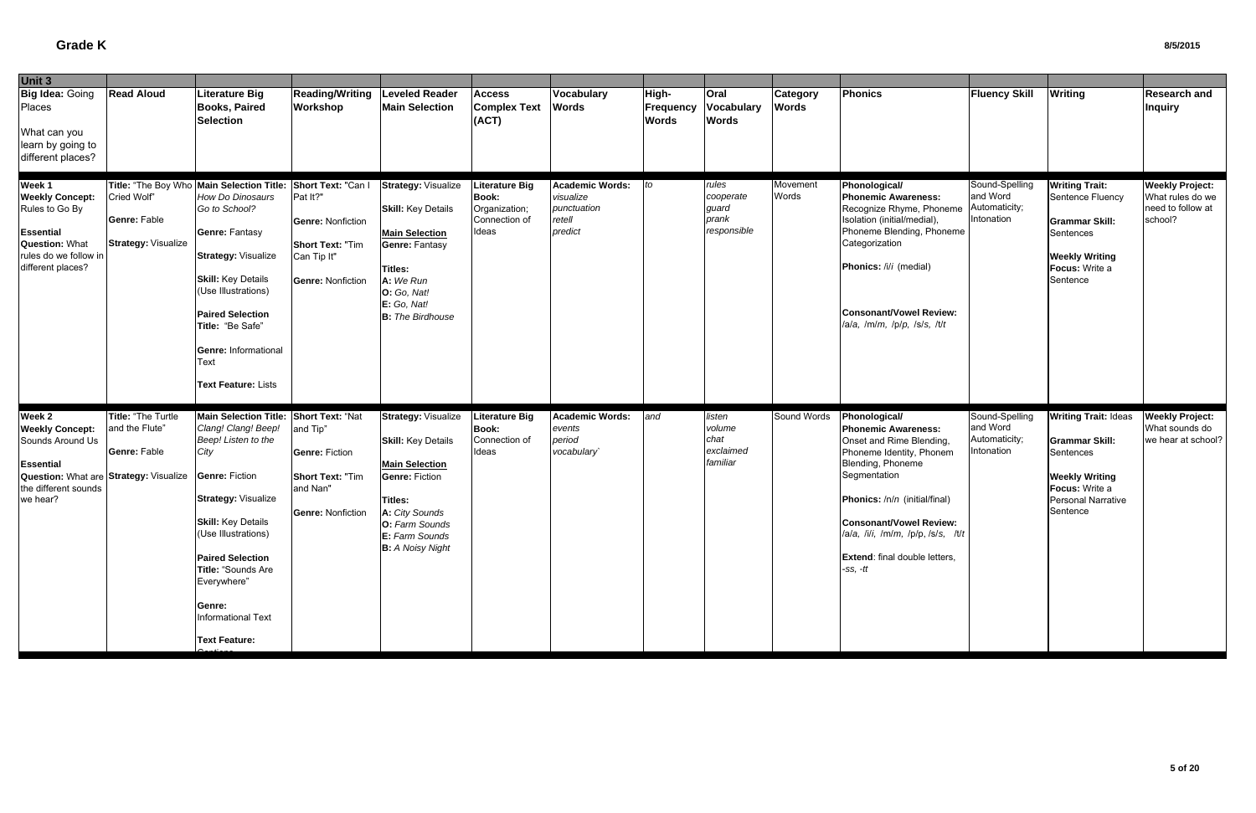| Unit 3                                                                                                                                                 |                                                                    |                                                                                                                                                                                                                                                                                                                                        |                                                                                                            |                                                                                                                                                                                                              |                                                                                  |                                                                         |                                    |                                                     |                                 |                                                                                                                                                                                                                                                                                                  |                                                           |                                                                                                                                                       |                                                                            |
|--------------------------------------------------------------------------------------------------------------------------------------------------------|--------------------------------------------------------------------|----------------------------------------------------------------------------------------------------------------------------------------------------------------------------------------------------------------------------------------------------------------------------------------------------------------------------------------|------------------------------------------------------------------------------------------------------------|--------------------------------------------------------------------------------------------------------------------------------------------------------------------------------------------------------------|----------------------------------------------------------------------------------|-------------------------------------------------------------------------|------------------------------------|-----------------------------------------------------|---------------------------------|--------------------------------------------------------------------------------------------------------------------------------------------------------------------------------------------------------------------------------------------------------------------------------------------------|-----------------------------------------------------------|-------------------------------------------------------------------------------------------------------------------------------------------------------|----------------------------------------------------------------------------|
| Big Idea: Going<br>Places<br>What can you<br>learn by going to<br>different places?                                                                    | <b>Read Aloud</b>                                                  | <b>Literature Big</b><br><b>Books, Paired</b><br><b>Selection</b>                                                                                                                                                                                                                                                                      | <b>Reading/Writing</b><br>Workshop                                                                         | <b>Leveled Reader</b><br><b>Main Selection</b>                                                                                                                                                               | <b>Access</b><br><b>Complex Text</b><br>(ACT)                                    | Vocabulary<br><b>Words</b>                                              | High-<br>Frequency<br><b>Words</b> | <b>Oral</b><br><b>Vocabulary</b><br><b>Words</b>    | <b>Category</b><br><b>Words</b> | <b>Phonics</b>                                                                                                                                                                                                                                                                                   | <b>Fluency Skill</b>                                      | <b>Writing</b>                                                                                                                                        | Research and<br><b>Inquiry</b>                                             |
| Week 1<br><b>Weekly Concept:</b><br>Rules to Go By<br><b>Essential</b><br><b>Question: What</b><br>rules do we follow in<br>different places?          | Cried Wolf"<br><b>Genre: Fable</b><br><b>Strategy: Visualize</b>   | Title: "The Boy Who Main Selection Title: Short Text: "Can I<br>How Do Dinosaurs<br>Go to School?<br><b>Genre: Fantasy</b><br><b>Strategy: Visualize</b><br><b>Skill:</b> Key Details<br>(Use Illustrations)<br><b>Paired Selection</b><br>Title: "Be Safe"<br><b>Genre: Informational</b><br>Text<br><b>Text Feature: Lists</b>       | Pat It?"<br><b>Genre: Nonfiction</b><br><b>Short Text: "Tim</b><br>Can Tip It"<br><b>Genre: Nonfiction</b> | <b>Strategy: Visualize</b><br><b>Skill:</b> Key Details<br><b>Main Selection</b><br><b>Genre: Fantasy</b><br><b>Titles:</b><br>A: We Run<br>O: Go, Nat!<br>E: Go, Nat!<br><b>B:</b> The Birdhouse            | <b>Literature Big</b><br><b>Book:</b><br>Organization;<br>Connection of<br>Ideas | <b>Academic Words:</b><br>visualize<br>punctuation<br>retell<br>predict | to                                 | rules<br>cooperate<br>guard<br>prank<br>responsible | Movement<br>Words               | Phonological/<br><b>Phonemic Awareness:</b><br>Recognize Rhyme, Phoneme<br>Isolation (initial/medial),<br>Phoneme Blending, Phoneme<br>Categorization<br>Phonics: /i/i (medial)<br>Consonant/Vowel Review:<br>/a/a, /m/m, /p/p, /s/s, /t/t                                                       | Sound-Spelling<br>and Word<br>Automaticity;<br>Intonation | <b>Writing Trait:</b><br>Sentence Fluency<br><b>Grammar Skill:</b><br>Sentences<br><b>Weekly Writing</b><br>Focus: Write a<br>Sentence                | <b>Weekly Project:</b><br>What rules do we<br>need to follow at<br>school? |
| Week 2<br><b>Weekly Concept:</b><br>Sounds Around Us<br><b>Essential</b><br>Question: What are Strategy: Visualize<br>the different sounds<br>we hear? | <b>Title: "The Turtle</b><br>and the Flute"<br><b>Genre: Fable</b> | Main Selection Title: Short Text: "Nat<br>Clang! Clang! Beep!<br>Beep! Listen to the<br>City<br><b>Genre: Fiction</b><br><b>Strategy: Visualize</b><br><b>Skill:</b> Key Details<br>(Use Illustrations)<br><b>Paired Selection</b><br>Title: "Sounds Are<br>Everywhere"<br>Genre:<br><b>Informational Text</b><br><b>Text Feature:</b> | and Tip"<br><b>Genre: Fiction</b><br><b>Short Text: "Tim</b><br>and Nan"<br><b>Genre: Nonfiction</b>       | <b>Strategy: Visualize</b><br><b>Skill: Key Details</b><br><b>Main Selection</b><br><b>Genre: Fiction</b><br><b>Titles:</b><br>A: City Sounds<br>O: Farm Sounds<br>E: Farm Sounds<br><b>B:</b> A Noisy Night | <b>Literature Big</b><br><b>Book:</b><br>Connection of<br>Ideas                  | <b>Academic Words:</b><br>events<br>period<br>vocabulary                | and                                | listen<br>volume<br>chat<br>exclaimed<br>familiar   | Sound Words                     | Phonological/<br><b>Phonemic Awareness:</b><br>Onset and Rime Blending,<br>Phoneme Identity, Phonem<br>Blending, Phoneme<br>Segmentation<br>Phonics: /n/n (initial/final)<br>Consonant/Vowel Review:<br>/a/a, /i/i, /m/m, /p/p, /s/s, /t/t<br><b>Extend:</b> final double letters,<br>$-ss, -tt$ | Sound-Spelling<br>and Word<br>Automaticity;<br>Intonation | <b>Writing Trait: Ideas</b><br><b>Grammar Skill:</b><br>Sentences<br><b>Weekly Writing</b><br>Focus: Write a<br><b>Personal Narrative</b><br>Sentence | <b>Weekly Project:</b><br>What sounds do<br>we hear at school?             |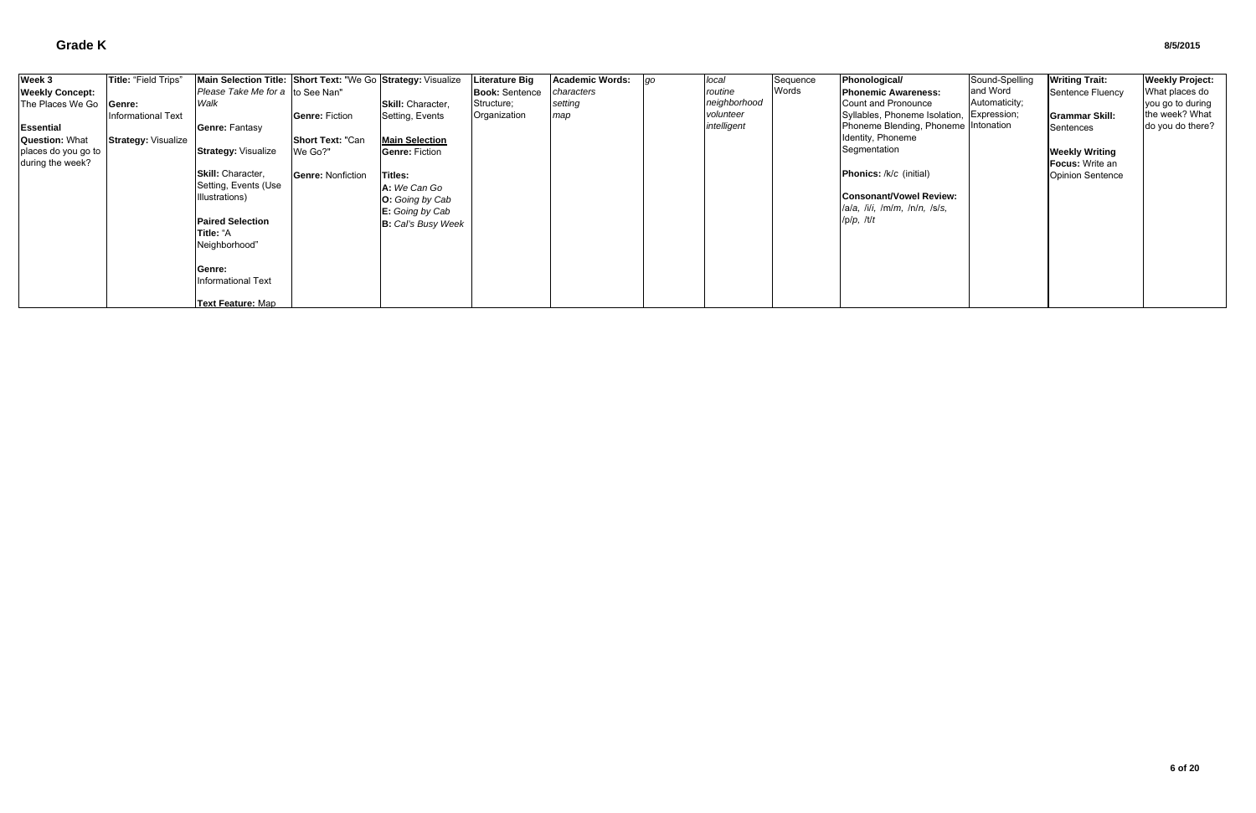| Week 3                 | Title: "Field Trips"       | Main Selection Title: Short Text: "We Go Strategy: Visualize |                          |                           | <b>Literature Big</b> | <b>Academic Words:</b> | go | local        | Sequence | Phonological/                        | Sound-Spelling | <b>Writing Trait:</b>   | <b>Weekly Project:</b> |
|------------------------|----------------------------|--------------------------------------------------------------|--------------------------|---------------------------|-----------------------|------------------------|----|--------------|----------|--------------------------------------|----------------|-------------------------|------------------------|
| <b>Weekly Concept:</b> |                            | Please Take Me for a to See Nan"                             |                          |                           | <b>Book: Sentence</b> | characters             |    | routine      | Words    | <b>IPhonemic Awareness:</b>          | and Word       | Sentence Fluency        | What places do         |
| The Places We Go       | Genre:                     | Walk                                                         |                          | <b>Skill:</b> Character,  | Structure;            | setting                |    | neighborhood |          | Count and Pronounce                  | Automaticity;  |                         | you go to during       |
|                        | <b>Informational Text</b>  |                                                              | <b>Genre: Fiction</b>    | Setting, Events           | Organization          | map                    |    | volunteer    |          | Syllables, Phoneme Isolation,        | Expression;    | <b>IGrammar Skill:</b>  | the week? What         |
| <b>Essential</b>       |                            | Genre: Fantasy                                               |                          |                           |                       |                        |    | intelligent  |          | Phoneme Blending, Phoneme Intonation |                | Sentences               | do you do there?       |
| <b>Question: What</b>  | <b>Strategy: Visualize</b> |                                                              | Short Text: "Can         | <b>Main Selection</b>     |                       |                        |    |              |          | Identity, Phoneme                    |                |                         |                        |
| places do you go to    |                            | <b>Strategy: Visualize</b>                                   | We Go?"                  | <b>Genre: Fiction</b>     |                       |                        |    |              |          | Segmentation                         |                | <b>Weekly Writing</b>   |                        |
| during the week?       |                            |                                                              |                          |                           |                       |                        |    |              |          |                                      |                | <b>Focus:</b> Write an  |                        |
|                        |                            | Skill: Character,                                            | <b>Genre: Nonfiction</b> | Titles:                   |                       |                        |    |              |          | <b>Phonics:</b> /k/c (initial)       |                | <b>Opinion Sentence</b> |                        |
|                        |                            | Setting, Events (Use                                         |                          | A: We Can Go              |                       |                        |    |              |          |                                      |                |                         |                        |
|                        |                            | Illustrations)                                               |                          | <b>O:</b> Going by Cab    |                       |                        |    |              |          | <b>Consonant/Vowel Review:</b>       |                |                         |                        |
|                        |                            |                                                              |                          | E: Going by Cab           |                       |                        |    |              |          | a/a, h/li, Im/m, ln/n, lsls,         |                |                         |                        |
|                        |                            | <b>Paired Selection</b>                                      |                          | <b>B:</b> Cal's Busy Week |                       |                        |    |              |          | $I$ p $/p$ , /t $It$                 |                |                         |                        |
|                        |                            | Title: "A                                                    |                          |                           |                       |                        |    |              |          |                                      |                |                         |                        |
|                        |                            | Neighborhood"                                                |                          |                           |                       |                        |    |              |          |                                      |                |                         |                        |
|                        |                            | Genre:                                                       |                          |                           |                       |                        |    |              |          |                                      |                |                         |                        |
|                        |                            | <b>Informational Text</b>                                    |                          |                           |                       |                        |    |              |          |                                      |                |                         |                        |
|                        |                            |                                                              |                          |                           |                       |                        |    |              |          |                                      |                |                         |                        |
|                        |                            | Text Feature: Map                                            |                          |                           |                       |                        |    |              |          |                                      |                |                         |                        |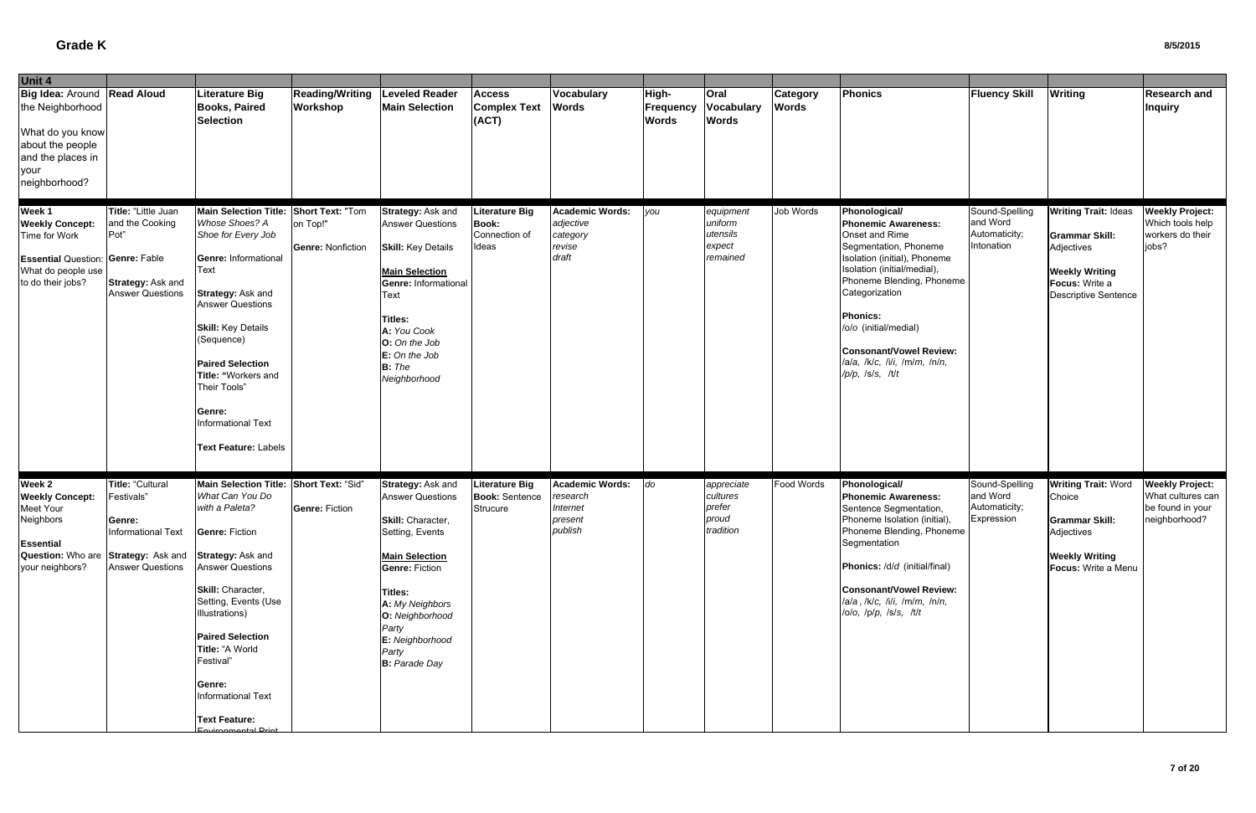| Unit 4                                                                                                                                  |                                                                                                                                                                  |                                                                                                                                                                                                                                                                                                                                                   |                                           |                                                                                                                                                                                                                                                             |                                                                 |                                                                      |                                    |                                                        |                                 |                                                                                                                                                                                                                                                                                                                                        |                                                           |                                                                                                                                              |                                                                                  |
|-----------------------------------------------------------------------------------------------------------------------------------------|------------------------------------------------------------------------------------------------------------------------------------------------------------------|---------------------------------------------------------------------------------------------------------------------------------------------------------------------------------------------------------------------------------------------------------------------------------------------------------------------------------------------------|-------------------------------------------|-------------------------------------------------------------------------------------------------------------------------------------------------------------------------------------------------------------------------------------------------------------|-----------------------------------------------------------------|----------------------------------------------------------------------|------------------------------------|--------------------------------------------------------|---------------------------------|----------------------------------------------------------------------------------------------------------------------------------------------------------------------------------------------------------------------------------------------------------------------------------------------------------------------------------------|-----------------------------------------------------------|----------------------------------------------------------------------------------------------------------------------------------------------|----------------------------------------------------------------------------------|
| Big Idea: Around Read Aloud<br>the Neighborhood<br>What do you know<br>about the people<br>and the places in<br>your<br>neighborhood?   |                                                                                                                                                                  | <b>Literature Big</b><br><b>Books, Paired</b><br><b>Selection</b>                                                                                                                                                                                                                                                                                 | <b>Reading/Writing</b><br><b>Workshop</b> | <b>Leveled Reader</b><br><b>Main Selection</b>                                                                                                                                                                                                              | <b>Access</b><br><b>Complex Text</b><br>(ACT)                   | Vocabulary<br><b>Words</b>                                           | High-<br>Frequency<br><b>Words</b> | Oral<br>Vocabulary<br><b>Words</b>                     | <b>Category</b><br><b>Words</b> | <b>Phonics</b>                                                                                                                                                                                                                                                                                                                         | <b>Fluency Skill</b>                                      | <b>Writing</b>                                                                                                                               | <b>Research and</b><br><b>Inquiry</b>                                            |
| Week 1<br><b>Weekly Concept:</b><br>Time for Work<br><b>Essential Question: Genre: Fable</b><br>What do people use<br>to do their jobs? | Title: "Little Juan<br>and the Cooking<br>Pot"<br>Strategy: Ask and<br><b>Answer Questions</b>                                                                   | Main Selection Title: Short Text: "Tom<br>Whose Shoes? A<br>Shoe for Every Job<br><b>Genre: Informational</b><br>Text<br><b>Strategy: Ask and</b><br><b>Answer Questions</b><br><b>Skill: Key Details</b><br>(Sequence)<br><b>Paired Selection</b><br>Title: "Workers and<br>Their Tools"<br>Genre:<br>Informational Text<br>Text Feature: Labels | on Top!"<br><b>Genre: Nonfiction</b>      | Strategy: Ask and<br><b>Answer Questions</b><br><b>Skill: Key Details</b><br><b>Main Selection</b><br>Genre: Informational<br>Text<br><b>Titles:</b><br>A: You Cook<br>O: On the Job<br>E: On the Job<br>$B:$ The<br>Neighborhood                           | <b>Literature Big</b><br><b>Book:</b><br>Connection of<br>Ideas | <b>Academic Words:</b><br>adjective<br>category<br>revise<br>draft   | you                                | equipment<br>uniform<br>utensils<br>expect<br>remained | Job Words                       | Phonological/<br><b>Phonemic Awareness:</b><br>Onset and Rime<br>Segmentation, Phoneme<br>Isolation (initial), Phoneme<br>Isolation (initial/medial)<br>Phoneme Blending, Phoneme<br>Categorization<br><b>Phonics:</b><br>/o/o (initial/medial)<br><b>Consonant/Vowel Review:</b><br>/a/a, /k/c, /i/i, /m/m, /n/n,<br>/p/p, /s/s, /t/t | Sound-Spelling<br>and Word<br>Automaticity;<br>Intonation | <b>Writing Trait: Ideas</b><br><b>Grammar Skill:</b><br>Adjectives<br><b>Weekly Writing</b><br>Focus: Write a<br><b>Descriptive Sentence</b> | <b>Weekly Project:</b><br>Which tools help<br>workers do their<br>jobs?          |
| Week 2<br><b>Weekly Concept:</b><br>Meet Your<br>Neighbors<br><b>Essential</b><br>your neighbors?                                       | <b>Title: "Cultural</b><br>Festivals"<br>Genre:<br><b>Informational Text</b><br>Question: Who are Strategy: Ask and Strategy: Ask and<br><b>Answer Questions</b> | Main Selection Title: Short Text: "Sid"<br>What Can You Do<br>with a Paleta?<br><b>Genre: Fiction</b><br><b>Answer Questions</b><br>Skill: Character.<br>Setting, Events (Use<br>Illustrations)<br><b>Paired Selection</b><br>Title: "A World<br>Festival"<br>Genre:<br>Informational Text<br><b>Text Feature:</b><br>Environmontal Print         | Genre: Fiction                            | Strategy: Ask and<br><b>Answer Questions</b><br>Skill: Character,<br>Setting, Events<br><b>Main Selection</b><br><b>Genre: Fiction</b><br><b>Titles:</b><br>A: My Neighbors<br>O: Neighborhood<br>Party<br>E: Neighborhood<br>Party<br><b>B:</b> Parade Day | <b>Literature Big</b><br><b>Book: Sentence</b><br>Strucure      | <b>Academic Words:</b><br>research<br>Internet<br>present<br>publish | do                                 | appreciate<br>cultures<br>prefer<br>proud<br>tradition | Food Words                      | Phonological/<br><b>Phonemic Awareness:</b><br>Sentence Segmentation,<br>Phoneme Isolation (initial),<br>Phoneme Blending, Phoneme<br>Segmentation<br>Phonics: /d/d (initial/final)<br><b>Consonant/Vowel Review:</b><br>/a/a, /k/c, /i/i, /m/m, /n/n,<br>lolo, lplp, lsls, ltlt                                                       | Sound-Spelling<br>and Word<br>Automaticity;<br>Expression | <b>Writing Trait: Word</b><br>Choice<br><b>Grammar Skill:</b><br>Adjectives<br><b>Weekly Writing</b><br>Focus: Write a Menu                  | <b>Weekly Project:</b><br>What cultures can<br>be found in your<br>neighborhood? |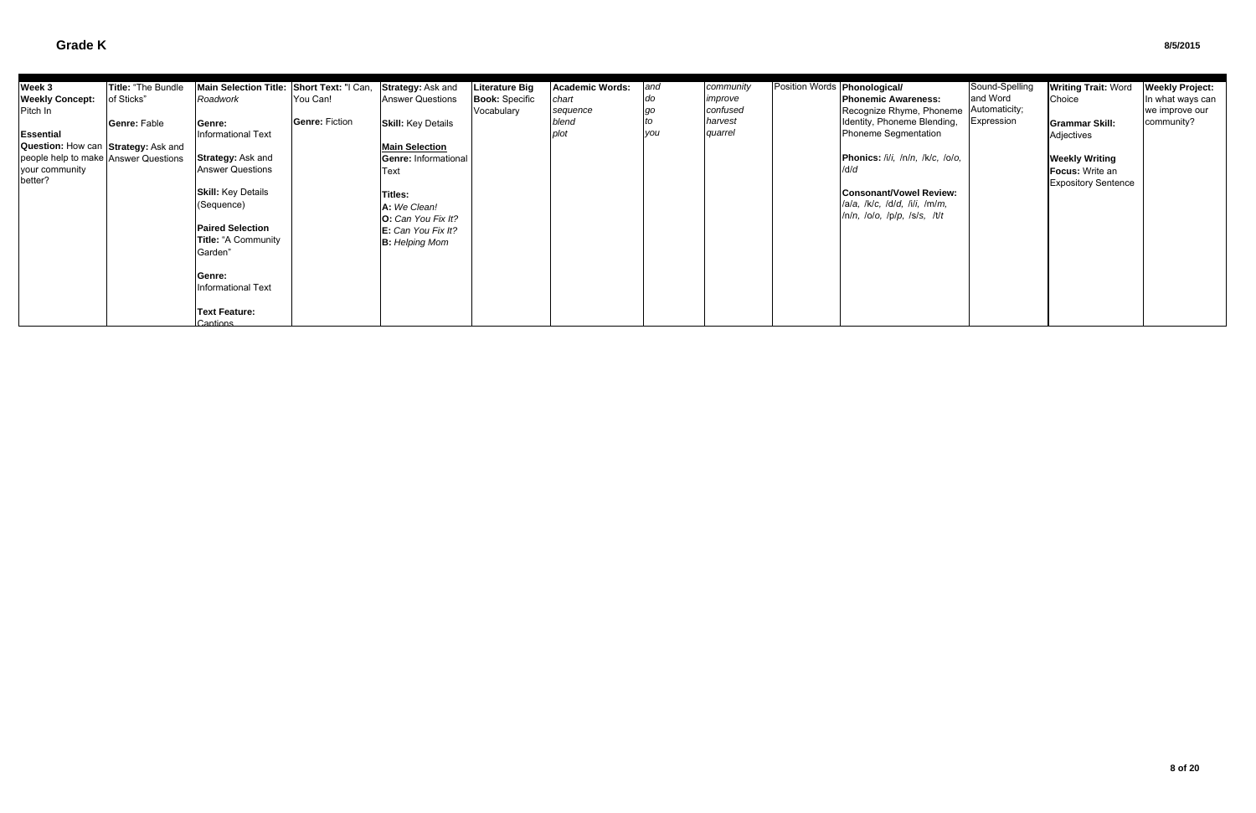| Week 3                               | Title: "The Bundle | Main Selection Title: Short Text: "I Can, |                | Strategy: Ask and           | Literature Big        | <b>Academic Words:</b> | and | community | Position Words <b>Phonological/</b> |                                  | Sound-Spelling | <b>Writing Trait: Word</b> | <b>Weekly Project:</b> |
|--------------------------------------|--------------------|-------------------------------------------|----------------|-----------------------------|-----------------------|------------------------|-----|-----------|-------------------------------------|----------------------------------|----------------|----------------------------|------------------------|
| <b>Weekly Concept:</b>               | of Sticks"         | Roadwork                                  | You Can!       | <b>Answer Questions</b>     | <b>Book: Specific</b> | chart                  |     | improve   |                                     | <b>Phonemic Awareness:</b>       | and Word       | Choice                     | In what ways can       |
| Pitch In                             |                    |                                           |                |                             | Vocabulary            | sequence               |     | confused  |                                     | Recognize Rhyme, Phoneme         | Automaticity;  |                            | we improve our         |
|                                      | Genre: Fable       | Genre:                                    | Genre: Fiction | <b>Skill: Key Details</b>   |                       | blend                  |     | harvest   |                                     | Identity, Phoneme Blending,      | Expression     | <b>Grammar Skill:</b>      | community?             |
| <b>Essential</b>                     |                    | Informational Text                        |                |                             |                       | plot                   | vou | quarrel   |                                     | Phoneme Segmentation             |                | Adjectives                 |                        |
| Question: How can Strategy: Ask and  |                    |                                           |                | <b>Main Selection</b>       |                       |                        |     |           |                                     |                                  |                |                            |                        |
| people help to make Answer Questions |                    | <b>Strategy: Ask and</b>                  |                | <b>Genre: Informational</b> |                       |                        |     |           |                                     | Phonics: /i/i, /n/n, /k/c, /o/o, |                | <b>Weekly Writing</b>      |                        |
| your community                       |                    | <b>Answer Questions</b>                   |                | Text                        |                       |                        |     |           |                                     | /d/d                             |                | <b>Focus:</b> Write an     |                        |
| better?                              |                    |                                           |                |                             |                       |                        |     |           |                                     |                                  |                | <b>Expository Sentence</b> |                        |
|                                      |                    | <b>Skill:</b> Key Details                 |                | <b>Titles:</b>              |                       |                        |     |           |                                     | <b>Consonant/Vowel Review:</b>   |                |                            |                        |
|                                      |                    | (Sequence)                                |                | A: We Clean!                |                       |                        |     |           |                                     | /a/a, /k/c, /d/d, /i/i, /m/m,    |                |                            |                        |
|                                      |                    |                                           |                | <b>O:</b> Can You Fix It?   |                       |                        |     |           |                                     | /n/n, /o/o, /p/p, /s/s, /t/t     |                |                            |                        |
|                                      |                    | <b>Paired Selection</b>                   |                | E: Can You Fix It?          |                       |                        |     |           |                                     |                                  |                |                            |                        |
|                                      |                    | Title: "A Community                       |                | <b>B:</b> Helping Mom       |                       |                        |     |           |                                     |                                  |                |                            |                        |
|                                      |                    | Garden"                                   |                |                             |                       |                        |     |           |                                     |                                  |                |                            |                        |
|                                      |                    |                                           |                |                             |                       |                        |     |           |                                     |                                  |                |                            |                        |
|                                      |                    | <b>Genre:</b>                             |                |                             |                       |                        |     |           |                                     |                                  |                |                            |                        |
|                                      |                    | <b>Informational Text</b>                 |                |                             |                       |                        |     |           |                                     |                                  |                |                            |                        |
|                                      |                    |                                           |                |                             |                       |                        |     |           |                                     |                                  |                |                            |                        |
|                                      |                    | <b>Text Feature:</b>                      |                |                             |                       |                        |     |           |                                     |                                  |                |                            |                        |
|                                      |                    | Cantions                                  |                |                             |                       |                        |     |           |                                     |                                  |                |                            |                        |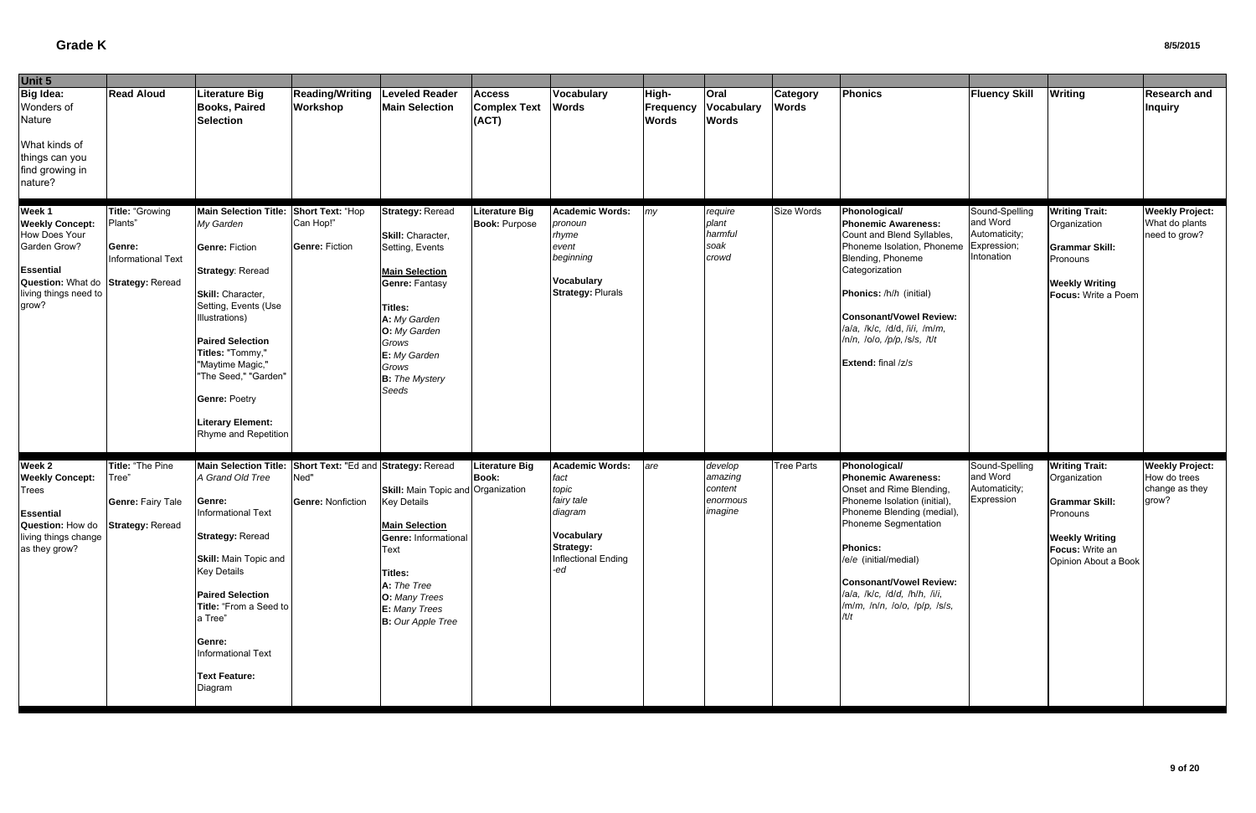| Unit 5                                                                                                                                                 |                                                            |                                                                                                                                                                                                                                                                                                                                           |                                                        |                                                                                                                                                                                                                                  |                                               |                                                                                                                           |                                    |                                                      |                                 |                                                                                                                                                                                                                                                                                                                       |                                                                          |                                                                                                                                                |                                                                   |
|--------------------------------------------------------------------------------------------------------------------------------------------------------|------------------------------------------------------------|-------------------------------------------------------------------------------------------------------------------------------------------------------------------------------------------------------------------------------------------------------------------------------------------------------------------------------------------|--------------------------------------------------------|----------------------------------------------------------------------------------------------------------------------------------------------------------------------------------------------------------------------------------|-----------------------------------------------|---------------------------------------------------------------------------------------------------------------------------|------------------------------------|------------------------------------------------------|---------------------------------|-----------------------------------------------------------------------------------------------------------------------------------------------------------------------------------------------------------------------------------------------------------------------------------------------------------------------|--------------------------------------------------------------------------|------------------------------------------------------------------------------------------------------------------------------------------------|-------------------------------------------------------------------|
| Big Idea:<br>Wonders of<br>Nature<br>What kinds of<br>things can you<br>find growing in<br>nature?                                                     | <b>Read Aloud</b>                                          | Literature Big<br><b>Books, Paired</b><br><b>Selection</b>                                                                                                                                                                                                                                                                                | <b>Reading/Writing</b><br>Workshop                     | <b>Leveled Reader</b><br><b>Main Selection</b>                                                                                                                                                                                   | <b>Access</b><br><b>Complex Text</b><br>(ACT) | Vocabulary<br><b>Words</b>                                                                                                | High-<br>Frequency<br><b>Words</b> | Oral<br>Vocabulary<br><b>Words</b>                   | <b>Category</b><br><b>Words</b> | Phonics                                                                                                                                                                                                                                                                                                               | <b>Fluency Skill</b>                                                     | <b>Writing</b>                                                                                                                                 | <b>Research and</b><br><b>Inquiry</b>                             |
| Week 1<br><b>Weekly Concept:</b><br>How Does Your<br>Garden Grow?<br>Essential<br>Question: What do Strategy: Reread<br>living things need to<br>grow? | Title: "Growing<br>Plants"<br>Genre:<br>Informational Text | <b>Main Selection Title:</b><br>My Garden<br><b>Genre: Fiction</b><br><b>Strategy: Reread</b><br>Skill: Character,<br>Setting, Events (Use<br>Illustrations)<br><b>Paired Selection</b><br>Titles: "Tommy,"<br>"Maytime Magic,"<br>'The Seed," "Garden"<br><b>Genre: Poetry</b><br><b>Literary Element:</b><br>Rhyme and Repetition       | Short Text: "Hop<br>Can Hop!"<br><b>Genre: Fiction</b> | <b>Strategy: Reread</b><br>Skill: Character,<br>Setting, Events<br><b>Main Selection</b><br>Genre: Fantasy<br><b>Titles:</b><br>A: My Garden<br>O: My Garden<br>Grows<br>E: My Garden<br>Grows<br><b>B:</b> The Mystery<br>Seeds | <b>Literature Big</b><br><b>Book: Purpose</b> | Academic Words:<br>pronoun<br>rhyme<br>event<br>beginning<br><b>Vocabulary</b><br><b>Strategy: Plurals</b>                | my                                 | require<br>plant<br>harmful<br>soak<br>crowd         | Size Words                      | Phonological/<br><b>Phonemic Awareness:</b><br>Count and Blend Syllables,<br>Phoneme Isolation, Phoneme<br>Blending, Phoneme<br>Categorization<br>Phonics: /h/h (initial)<br>Consonant/Vowel Review:<br>/a/a, /k/c, /d/d, /i/i, /m/m,<br>/n/n, /o/o, /p/p, /s/s, /t/t<br>Extend: final /z/s                           | Sound-Spelling<br>and Word<br>Automaticity;<br>Expression;<br>Intonation | <b>Writing Trait:</b><br>Organization<br><b>Grammar Skill:</b><br>Pronouns<br><b>Weekly Writing</b><br>Focus: Write a Poem                     | <b>Weekly Project:</b><br>What do plants<br>need to grow?         |
| Week 2<br><b>Weekly Concept:</b><br>Trees<br><b>Essential</b><br>Question: How do Strategy: Reread<br>living things change<br>as they grow?            | Title: "The Pine<br>Tree"<br><b>Genre: Fairy Tale</b>      | Main Selection Title: Short Text: "Ed and Strategy: Reread<br>A Grand Old Tree<br>Genre:<br>Informational Text<br><b>Strategy: Reread</b><br><b>Skill: Main Topic and</b><br><b>Key Details</b><br><b>Paired Selection</b><br>Title: "From a Seed to<br>a Tree"<br>Genre:<br><b>Informational Text</b><br><b>Text Feature:</b><br>Diagram | Ned"<br><b>Genre: Nonfiction</b>                       | Skill: Main Topic and Organization<br><b>Key Details</b><br><b>Main Selection</b><br>Genre: Informational<br>Text<br><b>Titles:</b><br>A: The Tree<br>O: Many Trees<br>E: Many Trees<br><b>B:</b> Our Apple Tree                 | <b>Literature Big</b><br><b>Book:</b>         | Academic Words:<br>fact<br>topic<br>fairy tale<br>diagram<br>Vocabulary<br><b>Strategy:</b><br>Inflectional Ending<br>-ed | are                                | develop<br>amazing<br>content<br>enormous<br>imagine | <b>Tree Parts</b>               | Phonological/<br><b>Phonemic Awareness:</b><br>Onset and Rime Blending,<br>Phoneme Isolation (initial),<br>Phoneme Blending (medial),<br>Phoneme Segmentation<br><b>Phonics:</b><br>/e/e (initial/medial)<br><b>Consonant/Vowel Review:</b><br>/a/a, /k/c, /d/d, /h/h, /i/i,<br>/m/m, /n/n, /o/o, /p/p, /s/s,<br>/t/t | Sound-Spelling<br>and Word<br>Automaticity;<br>Expression                | <b>Writing Trait:</b><br>Organization<br><b>Grammar Skill:</b><br>Pronouns<br><b>Weekly Writing</b><br>Focus: Write an<br>Opinion About a Book | <b>Weekly Project:</b><br>How do trees<br>change as they<br>grow? |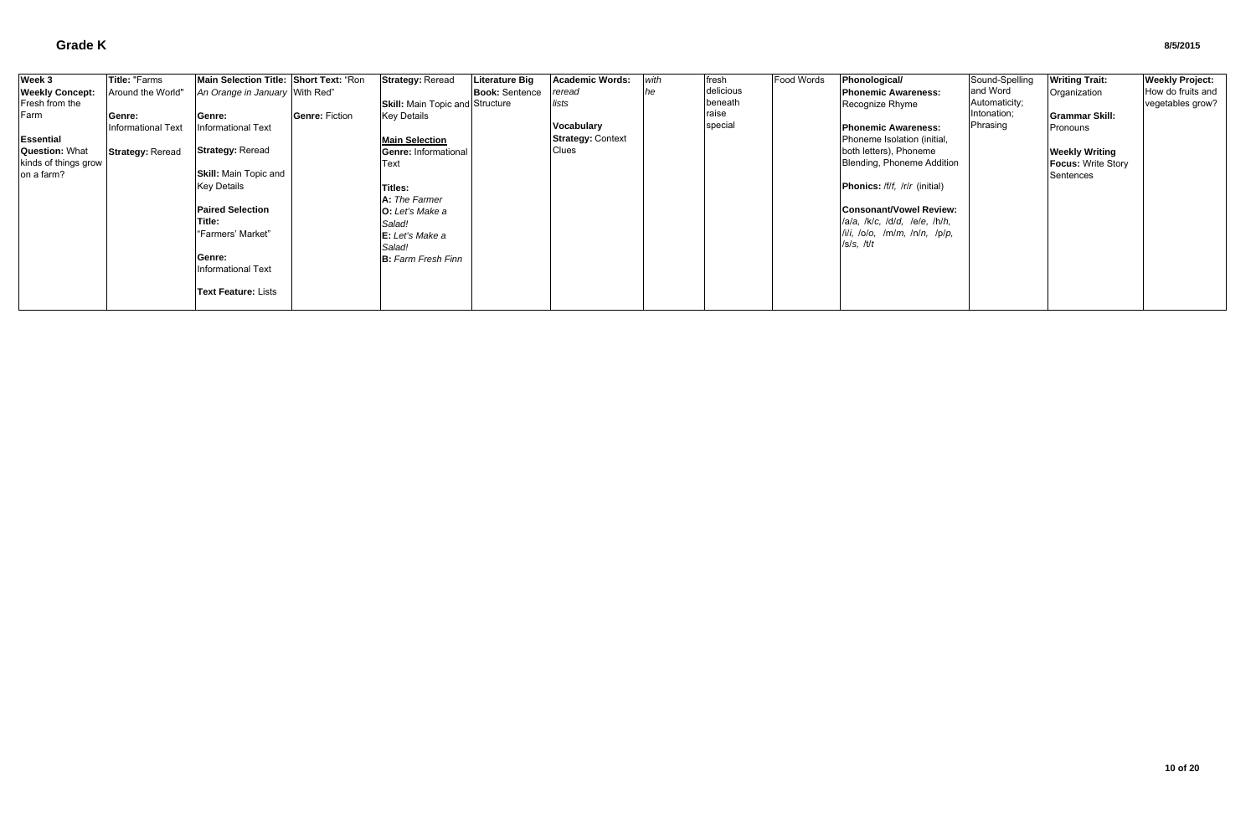| Week 3                 | Title: "Farms           | Main Selection Title: Short Text: "Ron |                       | <b>Strategy: Reread</b>                | Literature Big        | Academic Words:          | with | <b>fresh</b> | Food Words | Phonological/                               | Sound-Spelling | <b>Writing Trait:</b>     | <b>Weekly Project:</b> |
|------------------------|-------------------------|----------------------------------------|-----------------------|----------------------------------------|-----------------------|--------------------------|------|--------------|------------|---------------------------------------------|----------------|---------------------------|------------------------|
| <b>Weekly Concept:</b> | Around the World"       | An Orange in January With Red"         |                       |                                        | <b>Book: Sentence</b> | reread                   |      | delicious    |            | <b>IPhonemic Awareness:</b>                 | and Word       | Organization              | How do fruits and      |
| Fresh from the         |                         |                                        |                       | <b>Skill:</b> Main Topic and Structure |                       | lists                    |      | beneath      |            | Recognize Rhyme                             | Automaticity;  |                           | vegetables grow?       |
| Farm                   | Genre:                  | Genre:                                 | <b>Genre: Fiction</b> | <b>Key Details</b>                     |                       |                          |      | raise        |            |                                             | Intonation;    | <b>Grammar Skill:</b>     |                        |
|                        | Informational Text      | Informational Text                     |                       |                                        |                       | <b>Vocabulary</b>        |      | special      |            | <b>IPhonemic Awareness:</b>                 | Phrasing       | Pronouns                  |                        |
| <b>Essential</b>       |                         |                                        |                       | <b>Main Selection</b>                  |                       | <b>Strategy: Context</b> |      |              |            | Phoneme Isolation (initial,                 |                |                           |                        |
| <b>Question: What</b>  | <b>Strategy: Reread</b> | <b>Strategy: Reread</b>                |                       | <b>Genre: Informational</b>            |                       | Clues                    |      |              |            | both letters), Phoneme                      |                | <b>Weekly Writing</b>     |                        |
| kinds of things grow   |                         |                                        |                       | Text                                   |                       |                          |      |              |            | Blending, Phoneme Addition                  |                | <b>Focus: Write Story</b> |                        |
| on a farm?             |                         | <b>Skill:</b> Main Topic and           |                       |                                        |                       |                          |      |              |            |                                             |                | Sentences                 |                        |
|                        |                         | <b>Key Details</b>                     |                       | <b>Titles:</b>                         |                       |                          |      |              |            | <b>Phonics:</b> /f/f, /r/r (initial)        |                |                           |                        |
|                        |                         |                                        |                       | A: The Farmer                          |                       |                          |      |              |            |                                             |                |                           |                        |
|                        |                         | <b>Paired Selection</b>                |                       | <b>IO:</b> Let's Make a                |                       |                          |      |              |            | <b>Consonant/Vowel Review:</b>              |                |                           |                        |
|                        |                         | Title:                                 |                       | Salad!                                 |                       |                          |      |              |            | lala, lklc, ldld, lele, lhlh,               |                |                           |                        |
|                        |                         | l"Farmers' Market"                     |                       | E: Let's Make a                        |                       |                          |      |              |            | $\frac{1}{i}$ /i/i, /o/o, /m/m, /n/n, /p/p, |                |                           |                        |
|                        |                         |                                        |                       | Salad!                                 |                       |                          |      |              |            | /s/s, t/t                                   |                |                           |                        |
|                        |                         | Genre:                                 |                       | <b>B:</b> Farm Fresh Finn              |                       |                          |      |              |            |                                             |                |                           |                        |
|                        |                         | Informational Text                     |                       |                                        |                       |                          |      |              |            |                                             |                |                           |                        |
|                        |                         |                                        |                       |                                        |                       |                          |      |              |            |                                             |                |                           |                        |
|                        |                         | <b>Text Feature: Lists</b>             |                       |                                        |                       |                          |      |              |            |                                             |                |                           |                        |
|                        |                         |                                        |                       |                                        |                       |                          |      |              |            |                                             |                |                           |                        |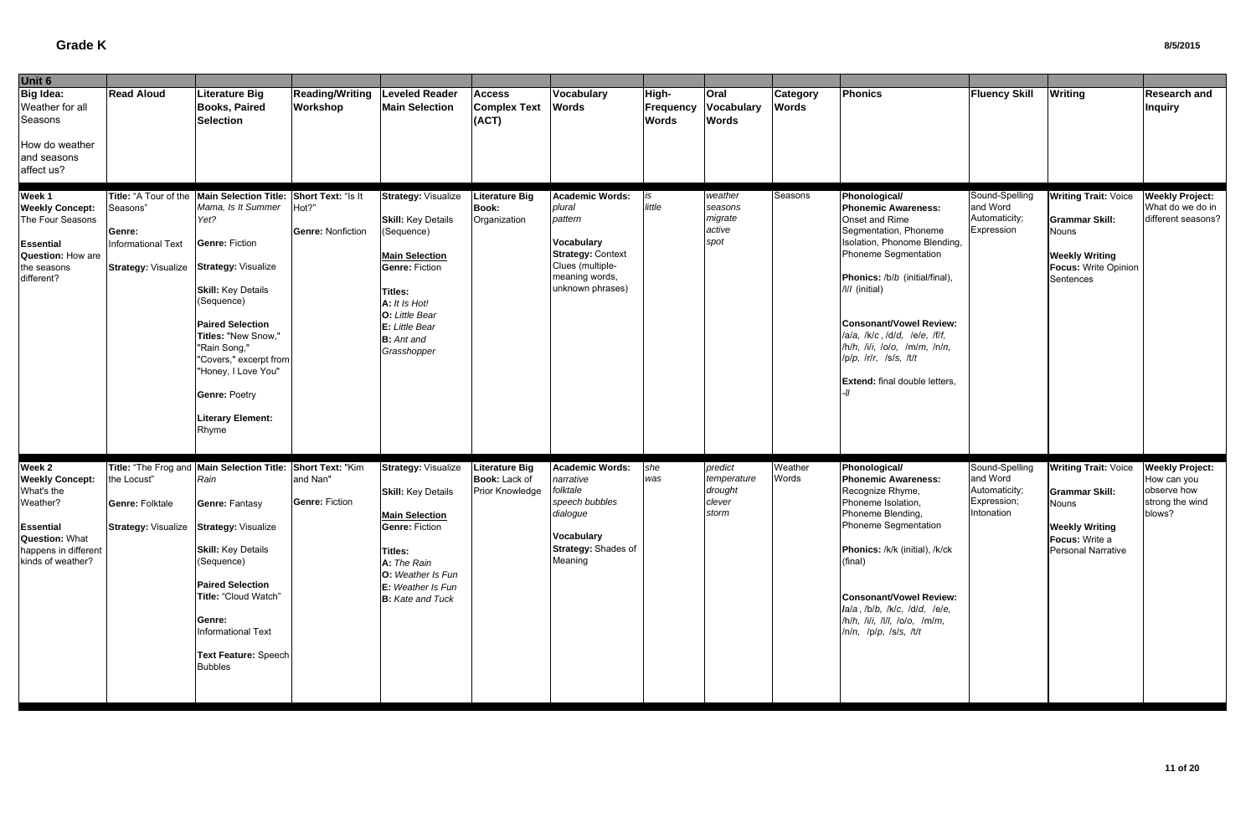| Unit 6                                                                                                                                 |                                                                                                          |                                                                                                                                                                                                                                                                                                                                                          |                                    |                                                                                                                                                                                                                                     |                                                                  |                                                                                                                                                 |                                    |                                                      |                                 |                                                                                                                                                                                                                                                                                                                                                                                          |                                                                          |                                                                                                                                              |                                                                                   |
|----------------------------------------------------------------------------------------------------------------------------------------|----------------------------------------------------------------------------------------------------------|----------------------------------------------------------------------------------------------------------------------------------------------------------------------------------------------------------------------------------------------------------------------------------------------------------------------------------------------------------|------------------------------------|-------------------------------------------------------------------------------------------------------------------------------------------------------------------------------------------------------------------------------------|------------------------------------------------------------------|-------------------------------------------------------------------------------------------------------------------------------------------------|------------------------------------|------------------------------------------------------|---------------------------------|------------------------------------------------------------------------------------------------------------------------------------------------------------------------------------------------------------------------------------------------------------------------------------------------------------------------------------------------------------------------------------------|--------------------------------------------------------------------------|----------------------------------------------------------------------------------------------------------------------------------------------|-----------------------------------------------------------------------------------|
| <b>Big Idea:</b><br>Weather for all<br>Seasons<br>How do weather<br>and seasons<br>affect us?                                          | <b>Read Aloud</b>                                                                                        | <b>Literature Big</b><br><b>Books, Paired</b><br><b>Selection</b>                                                                                                                                                                                                                                                                                        | <b>Reading/Writing</b><br>Workshop | <b>Leveled Reader</b><br><b>Main Selection</b>                                                                                                                                                                                      | <b>Access</b><br><b>Complex Text</b><br>(ACT)                    | Vocabulary<br><b>Words</b>                                                                                                                      | High-<br>Frequency<br><b>Words</b> | Oral<br><b>Vocabulary</b><br><b>Words</b>            | <b>Category</b><br><b>Words</b> | Phonics                                                                                                                                                                                                                                                                                                                                                                                  | <b>Fluency Skill</b>                                                     | <b>Writing</b>                                                                                                                               | <b>Research and</b><br><b>Inquiry</b>                                             |
| Week 1<br><b>Weekly Concept:</b><br>The Four Seasons<br><b>Essential</b><br>Question: How are<br>the seasons<br>different?             | Title: "A Tour of the<br>Seasons"<br>Genre:<br>Informational Text<br><b>Strategy: Visualize</b>          | Main Selection Title: Short Text: "Is It<br>Mama, Is It Summer<br>Yet?<br><b>Genre: Fiction</b><br><b>Strategy: Visualize</b><br><b>Skill: Key Details</b><br>(Sequence)<br><b>Paired Selection</b><br>Titles: "New Snow,"<br>"Rain Song,"<br>"Covers," excerpt from<br>"Honey, I Love You"<br><b>Genre: Poetry</b><br><b>Literary Element:</b><br>Rhyme | Hot?"<br><b>Genre: Nonfiction</b>  | <b>Strategy: Visualize</b><br><b>Skill: Key Details</b><br>(Sequence)<br><b>Main Selection</b><br><b>Genre: Fiction</b><br><b>Titles:</b><br>A: It Is Hot!<br>O: Little Bear<br>E: Little Bear<br><b>B</b> : Ant and<br>Grasshopper | <b>Literature Big</b><br><b>Book:</b><br>Organization            | <b>Academic Words:</b><br>plural<br>pattern<br>Vocabulary<br><b>Strategy: Context</b><br>Clues (multiple-<br>meaning words,<br>unknown phrases) | is<br>little                       | weather<br>seasons<br>migrate<br>active<br>spot      | Seasons                         | Phonological/<br><b>Phonemic Awareness:</b><br>Onset and Rime<br>Segmentation, Phoneme<br>Isolation, Phonome Blending,<br>Phoneme Segmentation<br>Phonics: /b/b (initial/final),<br>/l// (initial)<br><b>Consonant/Vowel Review:</b><br>/a/a, /k/c, /d/d, /e/e, /f/f,<br>$/h/h$ , $h^2/h$ , $10$ , $h^2/h$ , $h^2/h$ ,<br>/p/p, /r/r, /s/s, /t/t<br><b>Extend:</b> final double letters, | Sound-Spelling<br>and Word<br>Automaticity;<br>Expression                | <b>Writing Trait: Voice</b><br><b>Grammar Skill:</b><br><b>Nouns</b><br><b>Weekly Writing</b><br><b>Focus: Write Opinion</b><br>Sentences    | <b>Weekly Project:</b><br>What do we do in<br>different seasons?                  |
| Week 2<br><b>Weekly Concept:</b><br>What's the<br>Weather?<br>Essential<br>Question: What<br>happens in different<br>kinds of weather? | Title: "The Frog and<br>the Locust"<br><b>Genre: Folktale</b><br>Strategy: Visualize Strategy: Visualize | Main Selection Title: Short Text: "Kim<br>Rain<br>Genre: Fantasy<br><b>Skill:</b> Key Details<br>(Sequence)<br><b>Paired Selection</b><br>Title: "Cloud Watch"<br>Genre:<br><b>Informational Text</b><br>Text Feature: Speech<br><b>Bubbles</b>                                                                                                          | and Nan"<br><b>Genre: Fiction</b>  | <b>Strategy: Visualize</b><br><b>Skill: Key Details</b><br><b>Main Selection</b><br><b>Genre: Fiction</b><br><b>Titles:</b><br>A: The Rain<br>O: Weather Is Fun<br>E: Weather Is Fun<br><b>B:</b> Kate and Tuck                     | <b>Literature Big</b><br>Book: Lack of<br><b>Prior Knowledge</b> | Academic Words:<br>narrative<br>folktale<br>speech bubbles<br>dialogue<br>Vocabulary<br>Strategy: Shades of<br>Meaning                          | she<br>was                         | predict<br>temperature<br>drought<br>clever<br>storm | Weather<br>Words                | Phonological/<br><b>Phonemic Awareness:</b><br>Recognize Rhyme,<br>Phoneme Isolation,<br>Phoneme Blending,<br>Phoneme Segmentation<br>Phonics: /k/k (initial), /k/ck<br>(final)<br><b>Consonant/Vowel Review:</b><br>la/a, /b/b, /k/c, /d/d, /e/e,<br>/h/h, /i/i, /l/l, /o/o, /m/m,<br>/n/n, /p/p, /s/s, /t/t                                                                            | Sound-Spelling<br>and Word<br>Automaticity;<br>Expression;<br>Intonation | <b>Writing Trait: Voice</b><br><b>Grammar Skill:</b><br><b>Nouns</b><br><b>Weekly Writing</b><br>Focus: Write a<br><b>Personal Narrative</b> | <b>Weekly Project:</b><br>How can you<br>observe how<br>strong the wind<br>blows? |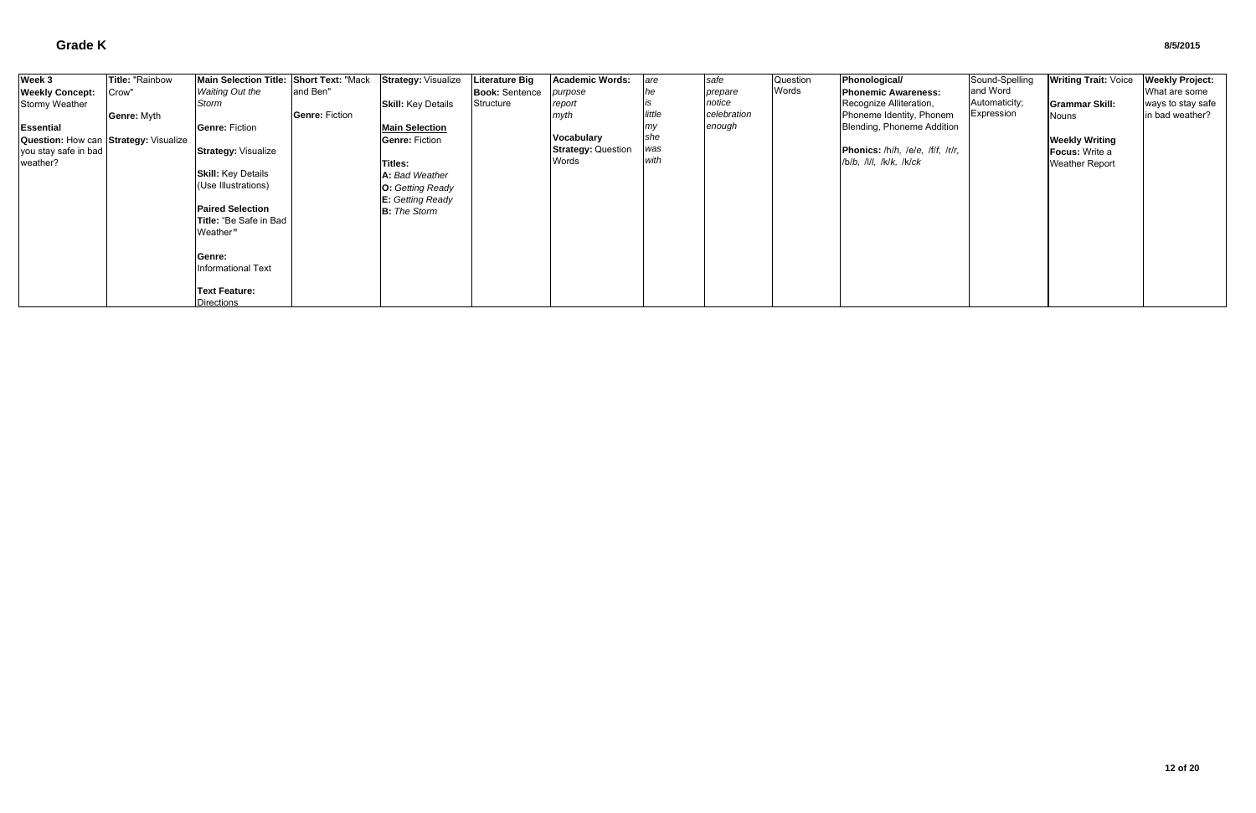| Week 3                                | Title: "Rainbow    | Main Selection Title: Short Text: "Mack |                       | <b>Strategy: Visualize</b> | Literature Big        | <b>Academic Words:</b>    | are    | safe        | Question | Phonological/                    | Sound-Spelling | <b>Writing Trait: Voice</b> | <b>Weekly Project:</b> |
|---------------------------------------|--------------------|-----------------------------------------|-----------------------|----------------------------|-----------------------|---------------------------|--------|-------------|----------|----------------------------------|----------------|-----------------------------|------------------------|
| <b>Weekly Concept:</b>                | Crow'              | <b>Waiting Out the</b>                  | and Ben"              |                            | <b>Book: Sentence</b> | purpose                   |        | prepare     | Words    | <b>Phonemic Awareness:</b>       | and Word       |                             | What are some          |
| Stormy Weather                        |                    | Storm                                   |                       | <b>Skill: Key Details</b>  | Structure             | report                    |        | notice      |          | Recognize Alliteration,          | Automaticity;  | <b>Grammar Skill:</b>       | ways to stay safe      |
|                                       | <b>Genre: Myth</b> |                                         | <b>Genre: Fiction</b> |                            |                       | myth                      | little | celebration |          | Phoneme Identity, Phonem         | Expression     | Nouns                       | in bad weather?        |
| <b>Essential</b>                      |                    | <b>Genre: Fiction</b>                   |                       | <b>Main Selection</b>      |                       |                           |        | enough      |          | Blending, Phoneme Addition       |                |                             |                        |
| Question: How can Strategy: Visualize |                    |                                         |                       | <b>Genre: Fiction</b>      |                       | <b>Vocabulary</b>         | she    |             |          |                                  |                | <b>Weekly Writing</b>       |                        |
| you stay safe in bad                  |                    | <b>Strategy: Visualize</b>              |                       |                            |                       | <b>Strategy: Question</b> | was    |             |          | Phonics: /h/h, /e/e, /f/f, /r/r, |                | <b>Focus:</b> Write a       |                        |
| weather?                              |                    |                                         |                       | Titles:                    |                       | Words                     | with   |             |          | /b/b, /l/l, /k/k, /k/ck          |                | <b>Weather Report</b>       |                        |
|                                       |                    | <b>Skill:</b> Key Details               |                       | A: Bad Weather             |                       |                           |        |             |          |                                  |                |                             |                        |
|                                       |                    | (Use Illustrations)                     |                       | <b>O:</b> Getting Ready    |                       |                           |        |             |          |                                  |                |                             |                        |
|                                       |                    |                                         |                       | E: Getting Ready           |                       |                           |        |             |          |                                  |                |                             |                        |
|                                       |                    | <b>Paired Selection</b>                 |                       | <b>B:</b> The Storm        |                       |                           |        |             |          |                                  |                |                             |                        |
|                                       |                    | Title: "Be Safe in Bad                  |                       |                            |                       |                           |        |             |          |                                  |                |                             |                        |
|                                       |                    | Weather"                                |                       |                            |                       |                           |        |             |          |                                  |                |                             |                        |
|                                       |                    |                                         |                       |                            |                       |                           |        |             |          |                                  |                |                             |                        |
|                                       |                    | Genre:                                  |                       |                            |                       |                           |        |             |          |                                  |                |                             |                        |
|                                       |                    | <b>Informational Text</b>               |                       |                            |                       |                           |        |             |          |                                  |                |                             |                        |
|                                       |                    |                                         |                       |                            |                       |                           |        |             |          |                                  |                |                             |                        |
|                                       |                    | <b>Text Feature:</b>                    |                       |                            |                       |                           |        |             |          |                                  |                |                             |                        |
|                                       |                    | <b>Directions</b>                       |                       |                            |                       |                           |        |             |          |                                  |                |                             |                        |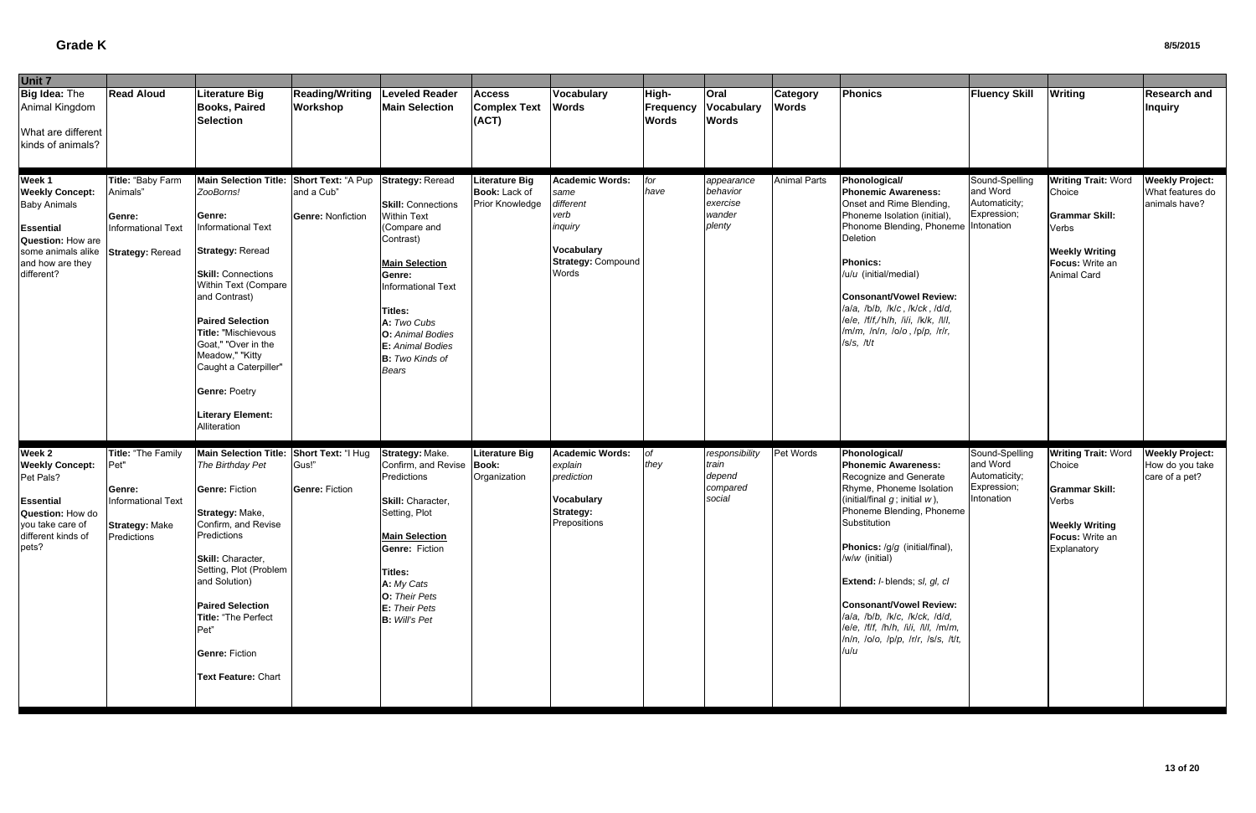| Unit 7                                                                                                                                                   |                                                                                                           |                                                                                                                                                                                                                                                                                                                                                                                        |                                        |                                                                                                                                                                                                                                                                             |                                                           |                                                                                                             |                                           |                                                         |                                 |                                                                                                                                                                                                                                                                                                                                                                                                                                                                 |                                                                          |                                                                                                                                          |                                                             |
|----------------------------------------------------------------------------------------------------------------------------------------------------------|-----------------------------------------------------------------------------------------------------------|----------------------------------------------------------------------------------------------------------------------------------------------------------------------------------------------------------------------------------------------------------------------------------------------------------------------------------------------------------------------------------------|----------------------------------------|-----------------------------------------------------------------------------------------------------------------------------------------------------------------------------------------------------------------------------------------------------------------------------|-----------------------------------------------------------|-------------------------------------------------------------------------------------------------------------|-------------------------------------------|---------------------------------------------------------|---------------------------------|-----------------------------------------------------------------------------------------------------------------------------------------------------------------------------------------------------------------------------------------------------------------------------------------------------------------------------------------------------------------------------------------------------------------------------------------------------------------|--------------------------------------------------------------------------|------------------------------------------------------------------------------------------------------------------------------------------|-------------------------------------------------------------|
| Big Idea: The<br>Animal Kingdom<br>What are different<br>kinds of animals?                                                                               | <b>Read Aloud</b>                                                                                         | Literature Big<br><b>Books, Paired</b><br><b>Selection</b>                                                                                                                                                                                                                                                                                                                             | <b>Reading/Writing</b><br>Workshop     | <b>Leveled Reader</b><br><b>Main Selection</b>                                                                                                                                                                                                                              | <b>Access</b><br><b>Complex Text</b><br>(ACT)             | <b>Vocabulary</b><br><b>Words</b>                                                                           | High-<br><b>Frequency</b><br><b>Words</b> | Oral<br><b>Vocabulary</b><br><b>Words</b>               | <b>Category</b><br><b>Words</b> | <b>Phonics</b>                                                                                                                                                                                                                                                                                                                                                                                                                                                  | <b>Fluency Skill</b>                                                     | <b>Writing</b>                                                                                                                           | <b>Research and</b><br><b>Inquiry</b>                       |
| Week 1<br><b>Weekly Concept:</b><br><b>Baby Animals</b><br><b>Essential</b><br>Question: How are<br>some animals alike<br>and how are they<br>different? | Title: "Baby Farm<br>Animals"<br>Genre:<br><b>Informational Text</b><br><b>Strategy: Reread</b>           | Main Selection Title: Short Text: "A Pup<br>ZooBorns!<br>Genre:<br><b>Informational Text</b><br><b>Strategy: Reread</b><br><b>Skill: Connections</b><br>Within Text (Compare<br>and Contrast)<br><b>Paired Selection</b><br>Title: "Mischievous<br>Goat," "Over in the<br>Meadow," "Kitty<br>Caught a Caterpiller"<br><b>Genre: Poetry</b><br><b>Literary Element:</b><br>Alliteration | and a Cub"<br><b>Genre: Nonfiction</b> | <b>Strategy: Reread</b><br><b>Skill: Connections</b><br><b>Within Text</b><br>Compare and<br>Contrast)<br><b>Main Selection</b><br>Genre:<br>Informational Text<br>Titles:<br>A: Two Cubs<br>O: Animal Bodies<br>E: Animal Bodies<br><b>B:</b> Two Kinds of<br><b>Bears</b> | Literature Big<br><b>Book:</b> Lack of<br>Prior Knowledge | Academic Words:<br>same<br>different<br>verb<br>inquiry<br><b>Vocabulary</b><br>Strategy: Compound<br>Words | for<br>have                               | appearance<br>behavior<br>exercise<br>wander<br>plenty  | <b>Animal Parts</b>             | Phonological/<br>Phonemic Awareness:<br>Onset and Rime Blending,<br>Phoneme Isolation (initial),<br>Phonome Blending, Phoneme Intonation<br>Deletion<br><b>Phonics:</b><br>/u/u (initial/medial)<br><b>Consonant/Vowel Review:</b><br>/a/a, /b/b, /k/c, /k/ck, /d/d,<br>lele, lflf,/hlh, lili, lklk, llll,<br>/m/m, /n/n, /o/o, /p/p, /r/r,<br> s/s, t/t                                                                                                        | Sound-Spelling<br>and Word<br>Automaticity;<br>Expression;               | <b>Writing Trait: Word</b><br>Choice<br><b>Grammar Skill:</b><br>Verbs<br><b>Weekly Writing</b><br>Focus: Write an<br><b>Animal Card</b> | <b>Weekly Project:</b><br>What features do<br>animals have? |
| Week 2<br><b>Weekly Concept:</b><br>Pet Pals?<br><b>Essential</b><br>Question: How do<br>you take care of<br>different kinds of<br>pets?                 | Title: "The Family<br>Pet"<br>Genre:<br><b>Informational Text</b><br><b>Strategy: Make</b><br>Predictions | Main Selection Title: Short Text: "I Hug<br>The Birthday Pet<br><b>Genre: Fiction</b><br>Strategy: Make,<br>Confirm, and Revise<br>Predictions<br>Skill: Character,<br>Setting, Plot (Problem<br>and Solution)<br><b>Paired Selection</b><br>Title: "The Perfect<br>Pet"<br><b>Genre: Fiction</b><br>Text Feature: Chart                                                               | Gus!"<br><b>Genre: Fiction</b>         | Strategy: Make.<br>Confirm, and Revise<br>Predictions<br>Skill: Character,<br>Setting, Plot<br><b>Main Selection</b><br><b>Genre: Fiction</b><br>Titles:<br>A: My Cats<br>O: Their Pets<br>E: Their Pets<br><b>B:</b> Will's Pet                                            | <b>Literature Big</b><br>Book:<br>Organization            | Academic Words:<br>explain<br>prediction<br><b>Vocabulary</b><br><b>Strategy:</b><br>Prepositions           | <b>of</b><br>they                         | responsibility<br>train<br>depend<br>compared<br>social | Pet Words                       | Phonological/<br><b>Phonemic Awareness:</b><br>Recognize and Generate<br>Rhyme, Phoneme Isolation<br>(initial/final $g$ ; initial $w$ ),<br>Phoneme Blending, Phoneme<br>Substitution<br>Phonics: /g/g (initial/final),<br>/w/w (initial)<br>Extend: /-blends; sl, gl, cl<br><b>Consonant/Vowel Review:</b><br>/a/a, /b/b, /k/c, /k/ck, /d/d,<br>$le/e$ , /f/f, /h/h, /i/i, /l/l, /m/m,<br>$ln/n$ , $lo/o$ , $lp/p$ , $lrlr$ , $ls/s$ , $ltl$ ,<br>/u/ <i>u</i> | Sound-Spelling<br>and Word<br>Automaticity;<br>Expression;<br>Intonation | <b>Writing Trait: Word</b><br>Choice<br><b>Grammar Skill:</b><br>Verbs<br><b>Weekly Writing</b><br><b>Focus: Write an</b><br>Explanatory | <b>Weekly Project:</b><br>How do you take<br>care of a pet? |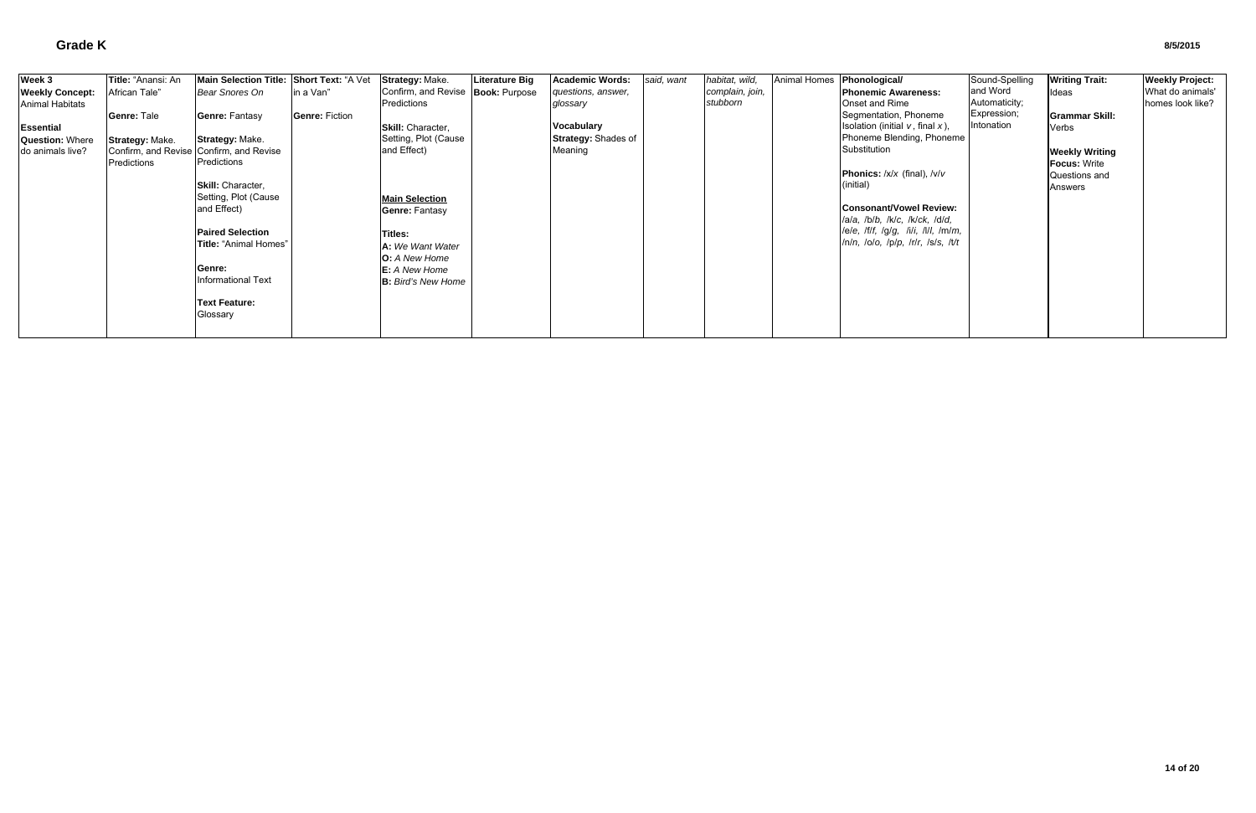| Week 3                 | Title: "Anansi: An | Main Selection Title: Short Text: "A Vet |                       | Strategy: Make.                     | <b>Literature Big</b> | <b>Academic Words:</b>     | said, want | habitat, wild,  | Animal Homes Phonological/ |                                        | Sound-Spelling | <b>Writing Trait:</b> | <b>Weekly Project:</b> |
|------------------------|--------------------|------------------------------------------|-----------------------|-------------------------------------|-----------------------|----------------------------|------------|-----------------|----------------------------|----------------------------------------|----------------|-----------------------|------------------------|
| <b>Weekly Concept:</b> | African Tale"      | Bear Snores On                           | lin a Van"            | Confirm, and Revise   Book: Purpose |                       | questions, answer,         |            | complain, join, |                            | <b>Phonemic Awareness:</b>             | and Word       | Ideas                 | What do animals'       |
| <b>Animal Habitats</b> |                    |                                          |                       | Predictions                         |                       | glossary                   |            | stubborn        |                            | <b>Onset and Rime</b>                  | Automaticity;  |                       | homes look like?       |
|                        | Genre: Tale        | <b>Genre: Fantasy</b>                    | <b>Genre: Fiction</b> |                                     |                       |                            |            |                 |                            | Segmentation, Phoneme                  | Expression;    | <b>Grammar Skill:</b> |                        |
| <b>Essential</b>       |                    |                                          |                       | Skill: Character,                   |                       | Vocabulary                 |            |                 |                            | Isolation (initial $v$ , final $x$ ),  | Intonation     | Verbs                 |                        |
| <b>Question: Where</b> | Strategy: Make.    | <b>Strategy: Make.</b>                   |                       | Setting, Plot (Cause                |                       | <b>Strategy: Shades of</b> |            |                 |                            | Phoneme Blending, Phoneme              |                |                       |                        |
| do animals live?       |                    | Confirm, and Revise Confirm, and Revise  |                       | and Effect)                         |                       | Meaning                    |            |                 |                            | Substitution                           |                | <b>Weekly Writing</b> |                        |
|                        | Predictions        | Predictions                              |                       |                                     |                       |                            |            |                 |                            |                                        |                | <b>Focus: Write</b>   |                        |
|                        |                    |                                          |                       |                                     |                       |                            |            |                 |                            | <b>Phonics:</b> $/x/x$ (final), $/v/v$ |                | Questions and         |                        |
|                        |                    | Skill: Character,                        |                       |                                     |                       |                            |            |                 |                            | (initial)                              |                | Answers               |                        |
|                        |                    | Setting, Plot (Cause                     |                       | <b>Main Selection</b>               |                       |                            |            |                 |                            |                                        |                |                       |                        |
|                        |                    | and Effect)                              |                       | <b>Genre: Fantasy</b>               |                       |                            |            |                 |                            | <b>Consonant/Vowel Review:</b>         |                |                       |                        |
|                        |                    |                                          |                       |                                     |                       |                            |            |                 |                            | lala, lblb, lklc, lklck, ldld,         |                |                       |                        |
|                        |                    | <b>Paired Selection</b>                  |                       | Titles:                             |                       |                            |            |                 |                            | lele, lflf, lglg, lili, llll, lmlm,    |                |                       |                        |
|                        |                    | <b>Title: "Animal Homes"</b>             |                       | A: We Want Water                    |                       |                            |            |                 |                            | /n/n, /o/o, /p/p, /r/r, /s/s, /t/t     |                |                       |                        |
|                        |                    |                                          |                       | <b>O:</b> A New Home                |                       |                            |            |                 |                            |                                        |                |                       |                        |
|                        |                    | Genre:                                   |                       | <b>E:</b> A New Home                |                       |                            |            |                 |                            |                                        |                |                       |                        |
|                        |                    | <b>Informational Text</b>                |                       | <b>B:</b> Bird's New Home           |                       |                            |            |                 |                            |                                        |                |                       |                        |
|                        |                    |                                          |                       |                                     |                       |                            |            |                 |                            |                                        |                |                       |                        |
|                        |                    | <b>Text Feature:</b>                     |                       |                                     |                       |                            |            |                 |                            |                                        |                |                       |                        |
|                        |                    | Glossary                                 |                       |                                     |                       |                            |            |                 |                            |                                        |                |                       |                        |
|                        |                    |                                          |                       |                                     |                       |                            |            |                 |                            |                                        |                |                       |                        |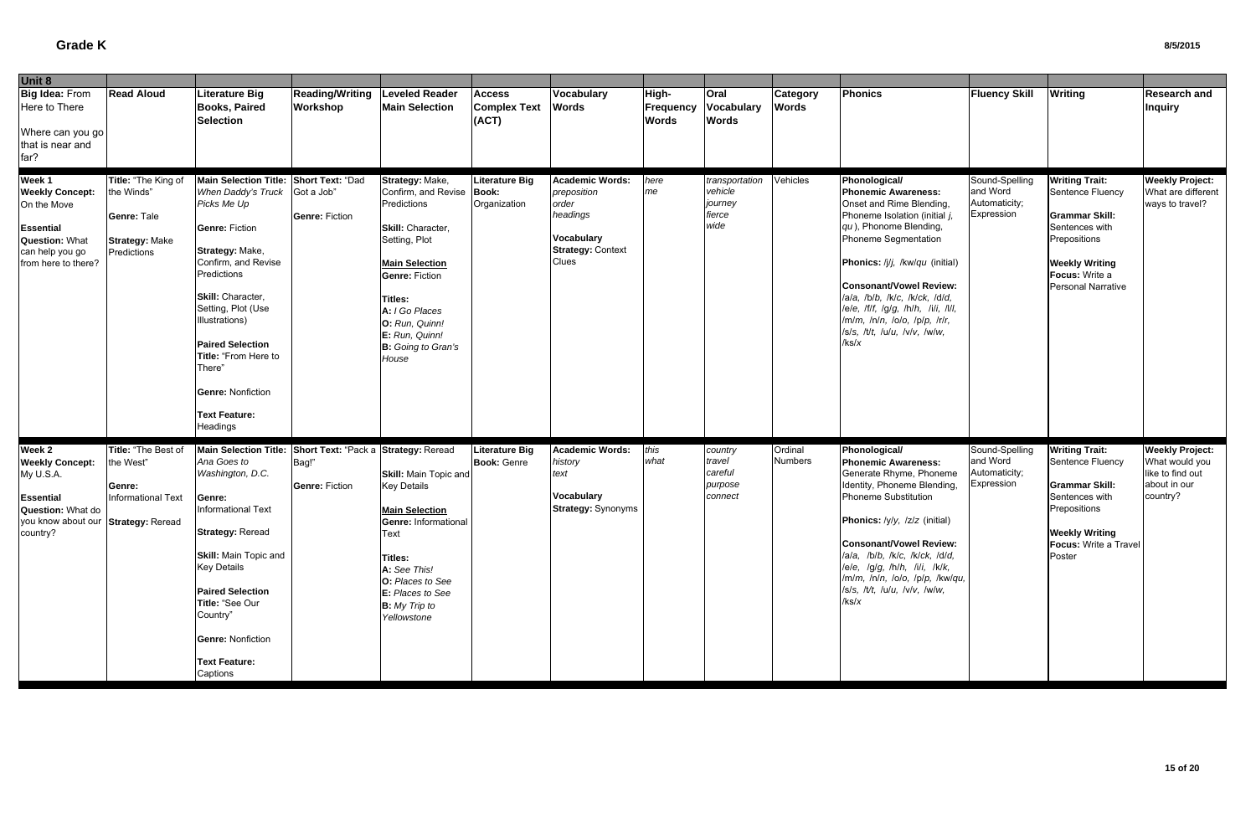| Unit 8                                                                                                                                 |                                                                                          |                                                                                                                                                                                                                                                                                                                                                         |                                                                        |                                                                                                                                                                                                                                                                     |                                               |                                                                                                               |                                    |                                                        |                                 |                                                                                                                                                                                                                                                                                                                                                                                     |                                                           |                                                                                                                                                                              |                                                                                          |
|----------------------------------------------------------------------------------------------------------------------------------------|------------------------------------------------------------------------------------------|---------------------------------------------------------------------------------------------------------------------------------------------------------------------------------------------------------------------------------------------------------------------------------------------------------------------------------------------------------|------------------------------------------------------------------------|---------------------------------------------------------------------------------------------------------------------------------------------------------------------------------------------------------------------------------------------------------------------|-----------------------------------------------|---------------------------------------------------------------------------------------------------------------|------------------------------------|--------------------------------------------------------|---------------------------------|-------------------------------------------------------------------------------------------------------------------------------------------------------------------------------------------------------------------------------------------------------------------------------------------------------------------------------------------------------------------------------------|-----------------------------------------------------------|------------------------------------------------------------------------------------------------------------------------------------------------------------------------------|------------------------------------------------------------------------------------------|
| Big Idea: From<br>Here to There<br>Where can you go<br>that is near and<br>far?                                                        | <b>Read Aloud</b>                                                                        | <b>Literature Big</b><br><b>Books, Paired</b><br><b>Selection</b>                                                                                                                                                                                                                                                                                       | <b>Reading/Writing</b><br>Workshop                                     | <b>Leveled Reader</b><br><b>Main Selection</b>                                                                                                                                                                                                                      | <b>Access</b><br><b>Complex Text</b><br>(ACT) | Vocabulary<br><b>Words</b>                                                                                    | High-<br>Frequency<br><b>Words</b> | Oral<br>Vocabulary<br><b>Words</b>                     | <b>Category</b><br><b>Words</b> | <b>Phonics</b>                                                                                                                                                                                                                                                                                                                                                                      | <b>Fluency Skill</b>                                      | <b>Writing</b>                                                                                                                                                               | <b>Research and</b><br><b>Inquiry</b>                                                    |
| Week 1<br><b>Weekly Concept:</b><br>On the Move<br><b>Essential</b><br><b>Question: What</b><br>can help you go<br>from here to there? | Title: "The King of<br>the Winds"<br>Genre: Tale<br><b>Strategy: Make</b><br>Predictions | Main Selection Title: Short Text: "Dad<br>When Daddy's Truck<br>Picks Me Up<br><b>Genre: Fiction</b><br>Strategy: Make,<br>Confirm, and Revise<br>Predictions<br>Skill: Character,<br>Setting, Plot (Use<br>Illustrations)<br><b>Paired Selection</b><br>Title: "From Here to<br>There"<br><b>Genre: Nonfiction</b><br><b>Text Feature:</b><br>Headings | Got a Job'<br><b>Genre: Fiction</b>                                    | Strategy: Make,<br>Confirm, and Revise   Book:<br>Predictions<br>Skill: Character,<br>Setting, Plot<br><b>Main Selection</b><br><b>Genre: Fiction</b><br><b>Titles:</b><br>A: I Go Places<br>O: Run, Quinn!<br>E: Run, Quinn!<br><b>B:</b> Going to Gran's<br>House | <b>Literature Big</b><br>Organization         | <b>Academic Words:</b><br>preposition<br>order<br>headings<br>Vocabulary<br><b>Strategy: Context</b><br>Clues | here<br>me                         | transportation<br>vehicle<br>journey<br>fierce<br>wide | Vehicles                        | Phonological/<br><b>Phonemic Awareness:</b><br>Onset and Rime Blending,<br>Phoneme Isolation (initial j,<br>qu), Phonome Blending,<br>Phoneme Segmentation<br>Phonics: /j/j, /kw/qu (initial)<br><b>Consonant/Vowel Review:</b><br>/a/a, /b/b, /k/c, /k/ck, /d/d,<br>lele, Iflf, Iglg, Ihlh, Iili, Illl,<br>/m/m, /n/n, /o/o, /p/p, /r/r,<br>/s/s, /t/t, /u/u, /v/v, /w/w,<br>k s/x | Sound-Spelling<br>and Word<br>Automaticity;<br>Expression | <b>Writing Trait:</b><br>Sentence Fluency<br><b>Grammar Skill:</b><br>Sentences with<br>Prepositions<br><b>Weekly Writing</b><br>Focus: Write a<br><b>Personal Narrative</b> | <b>Weekly Project:</b><br>What are different<br>ways to travel?                          |
| Week 2<br><b>Weekly Concept:</b><br>My U.S.A.<br>Essential<br>Question: What do<br>you know about our Strategy: Reread<br>country?     | Title: "The Best of<br>the West"<br>Genre:<br>Informational Text                         | <b>Main Selection Title:</b><br>Ana Goes to<br>Washington, D.C.<br>Genre:<br>Informational Text<br><b>Strategy: Reread</b><br><b>Skill:</b> Main Topic and<br><b>Key Details</b><br><b>Paired Selection</b><br>Title: "See Our<br>Country"<br><b>Genre: Nonfiction</b><br><b>Text Feature:</b><br>Captions                                              | Short Text: "Pack a Strategy: Reread<br>Bag!"<br><b>Genre: Fiction</b> | <b>Skill: Main Topic and</b><br><b>Key Details</b><br><b>Main Selection</b><br>Genre: Informational<br>Text<br><b>Titles:</b><br>A: See This!<br>O: Places to See<br>E: Places to See<br><b>B:</b> My Trip to<br>Yellowstone                                        | <b>Literature Big</b><br><b>Book: Genre</b>   | <b>Academic Words:</b><br>history<br>text<br>Vocabulary<br><b>Strategy: Synonyms</b>                          | this<br>what                       | country<br>travel<br>careful<br>purpose<br>connect     | Ordinal<br><b>Numbers</b>       | Phonological/<br><b>Phonemic Awareness:</b><br>Generate Rhyme, Phoneme<br>Identity, Phoneme Blending,<br>Phoneme Substitution<br>Phonics: /y/y, /z/z (initial)<br>Consonant/Vowel Review:<br>/a/a, /b/b, /k/c, /k/ck, /d/d,<br>lele, lglg, lhlh, lili, lklk,<br>/m/m, /n/n, /o/o, /p/p, /kw/qu,<br>/s/s, /t/t, /u/u, /v/v, /w/w,<br>/ks/x                                           | Sound-Spelling<br>and Word<br>Automaticity;<br>Expression | <b>Writing Trait:</b><br>Sentence Fluency<br><b>Grammar Skill:</b><br>Sentences with<br>Prepositions<br><b>Weekly Writing</b><br><b>Focus: Write a Travel</b><br>Poster      | <b>Weekly Project:</b><br>What would you<br>like to find out<br>about in our<br>country? |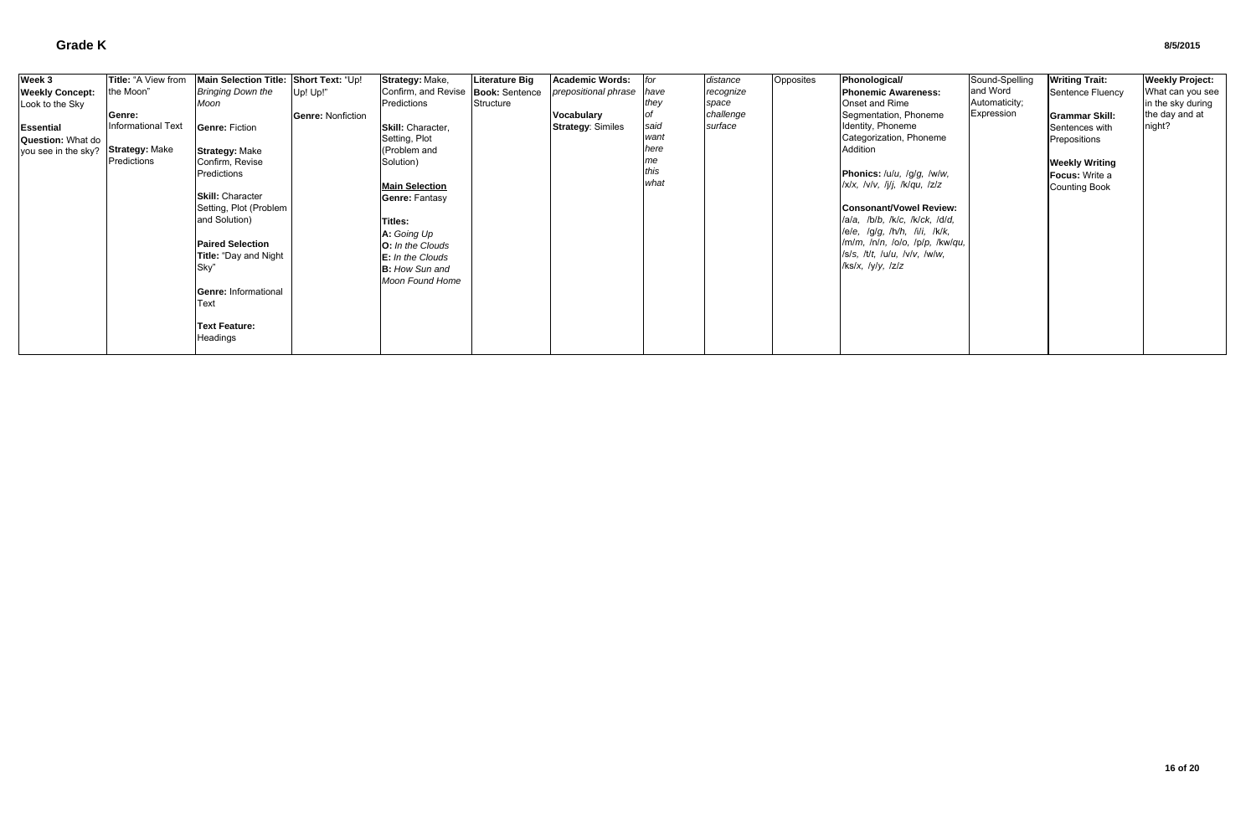| Week 3                 | Title: "A View from   | Main Selection Title: Short Text: "Up! |                          | Strategy: Make,                      | <b>Literature Big</b> | Academic Words:          | for  | distance  | Opposites | Phonological/                               | Sound-Spelling | <b>Writing Trait:</b> | <b>Weekly Project:</b> |
|------------------------|-----------------------|----------------------------------------|--------------------------|--------------------------------------|-----------------------|--------------------------|------|-----------|-----------|---------------------------------------------|----------------|-----------------------|------------------------|
| <b>Weekly Concept:</b> | the Moon"             | <b>Bringing Down the</b>               | Up! Up!"                 | Confirm, and Revise   Book: Sentence |                       | prepositional phrase     | have | recognize |           | <b>Phonemic Awareness:</b>                  | and Word       | Sentence Fluency      | What can you see       |
| Look to the Sky        |                       | Moon                                   |                          | Predictions                          | Structure             |                          | they | space     |           | Onset and Rime                              | Automaticity;  |                       | in the sky during      |
|                        | Genre:                |                                        | <b>Genre: Nonfiction</b> |                                      |                       | Vocabulary               |      | challenge |           | Segmentation, Phoneme                       | Expression     | <b>Grammar Skill:</b> | the day and at         |
| <b>Essential</b>       | Informational Text    | <b>Genre: Fiction</b>                  |                          | Skill: Character,                    |                       | <b>Strategy: Similes</b> | said | surface   |           | Identity, Phoneme                           |                | Sentences with        | night?                 |
| Question: What do      |                       |                                        |                          | Setting, Plot                        |                       |                          | want |           |           | Categorization, Phoneme                     |                | Prepositions          |                        |
| you see in the sky?    | <b>Strategy: Make</b> | <b>Strategy: Make</b>                  |                          | (Problem and                         |                       |                          | here |           |           | Addition                                    |                |                       |                        |
|                        | Predictions           | Confirm, Revise                        |                          | Solution)                            |                       |                          | me   |           |           |                                             |                | <b>Weekly Writing</b> |                        |
|                        |                       | Predictions                            |                          |                                      |                       |                          | this |           |           | Phonics: /u/u, /g/g, /w/w,                  |                | <b>Focus: Write a</b> |                        |
|                        |                       |                                        |                          | <b>Main Selection</b>                |                       |                          | what |           |           | $/x/x$ , $/y/y$ , $/j/j$ , $/k/qu$ , $/z/z$ |                | <b>Counting Book</b>  |                        |
|                        |                       | <b>Skill: Character</b>                |                          | <b>Genre: Fantasy</b>                |                       |                          |      |           |           |                                             |                |                       |                        |
|                        |                       | Setting, Plot (Problem                 |                          |                                      |                       |                          |      |           |           | Consonant/Vowel Review:                     |                |                       |                        |
|                        |                       | and Solution)                          |                          | Titles:                              |                       |                          |      |           |           | lala, lblb, lklc, lklck, ldld,              |                |                       |                        |
|                        |                       |                                        |                          | A: Going Up                          |                       |                          |      |           |           | lele, lglg, lh/h, lili, lklk,               |                |                       |                        |
|                        |                       | <b>Paired Selection</b>                |                          | O: In the Clouds                     |                       |                          |      |           |           | /m/m, /n/n, /o/o, /p/p, /kw/qu,             |                |                       |                        |
|                        |                       | Title: "Day and Night                  |                          | E: In the Clouds                     |                       |                          |      |           |           | /s/s, /t/t, /u/u, /v/v, /w/w,               |                |                       |                        |
|                        |                       | Sky'                                   |                          | <b>B:</b> How Sun and                |                       |                          |      |           |           | /ks/x, /y/y, /z/z                           |                |                       |                        |
|                        |                       |                                        |                          | Moon Found Home                      |                       |                          |      |           |           |                                             |                |                       |                        |
|                        |                       | <b>Genre: Informational</b>            |                          |                                      |                       |                          |      |           |           |                                             |                |                       |                        |
|                        |                       | <b>Text</b>                            |                          |                                      |                       |                          |      |           |           |                                             |                |                       |                        |
|                        |                       |                                        |                          |                                      |                       |                          |      |           |           |                                             |                |                       |                        |
|                        |                       | <b>Text Feature:</b>                   |                          |                                      |                       |                          |      |           |           |                                             |                |                       |                        |
|                        |                       | Headings                               |                          |                                      |                       |                          |      |           |           |                                             |                |                       |                        |
|                        |                       |                                        |                          |                                      |                       |                          |      |           |           |                                             |                |                       |                        |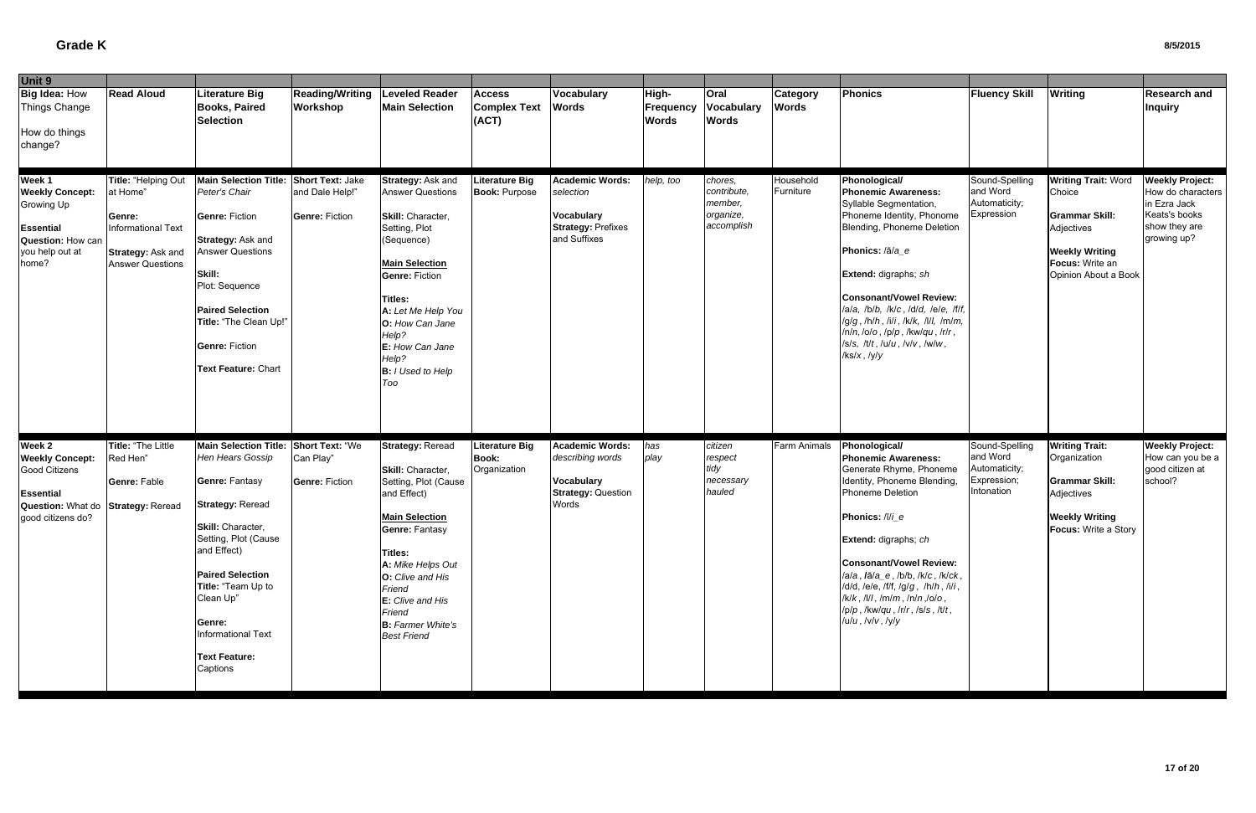| Unit 9                                                                                                                    |                                                                                                                        |                                                                                                                                                                                                                                                                                                    |                                                                     |                                                                                                                                                                                                                                                                                      |                                                       |                                                                                                       |                                    |                                                              |                                 |                                                                                                                                                                                                                                                                                                                                                                                                 |                                                                          |                                                                                                                                                 |                                                                                                              |
|---------------------------------------------------------------------------------------------------------------------------|------------------------------------------------------------------------------------------------------------------------|----------------------------------------------------------------------------------------------------------------------------------------------------------------------------------------------------------------------------------------------------------------------------------------------------|---------------------------------------------------------------------|--------------------------------------------------------------------------------------------------------------------------------------------------------------------------------------------------------------------------------------------------------------------------------------|-------------------------------------------------------|-------------------------------------------------------------------------------------------------------|------------------------------------|--------------------------------------------------------------|---------------------------------|-------------------------------------------------------------------------------------------------------------------------------------------------------------------------------------------------------------------------------------------------------------------------------------------------------------------------------------------------------------------------------------------------|--------------------------------------------------------------------------|-------------------------------------------------------------------------------------------------------------------------------------------------|--------------------------------------------------------------------------------------------------------------|
| Big Idea: How<br>Things Change<br>How do things<br>change?                                                                | <b>Read Aloud</b>                                                                                                      | <b>Literature Big</b><br><b>Books, Paired</b><br><b>Selection</b>                                                                                                                                                                                                                                  | <b>Reading/Writing</b><br>Workshop                                  | <b>Leveled Reader</b><br><b>Main Selection</b>                                                                                                                                                                                                                                       | <b>Access</b><br><b>Complex Text</b><br>(ACT)         | Vocabulary<br><b>Words</b>                                                                            | High-<br>Frequency<br><b>Words</b> | <b>Oral</b><br><b>Vocabulary</b><br><b>Words</b>             | <b>Category</b><br><b>Words</b> | <b>Phonics</b>                                                                                                                                                                                                                                                                                                                                                                                  | <b>Fluency Skill</b>                                                     | <b>Writing</b>                                                                                                                                  | Research and<br><b>Inquiry</b>                                                                               |
| Week 1<br><b>Weekly Concept:</b><br>Growing Up<br>Essential<br>Question: How can<br>you help out at<br>home?              | Title: "Helping Out<br>at Home"<br>Genre:<br>Informational Text<br><b>Strategy: Ask and</b><br><b>Answer Questions</b> | <b>Main Selection Title:</b><br>Peter's Chair<br>Genre: Fiction<br><b>Strategy: Ask and</b><br><b>Answer Questions</b><br>Skill:<br>Plot: Sequence<br><b>Paired Selection</b><br>Title: "The Clean Up!"<br><b>Genre: Fiction</b><br>Text Feature: Chart                                            | <b>Short Text: Jake</b><br>and Dale Help!"<br><b>Genre: Fiction</b> | Strategy: Ask and<br><b>Answer Questions</b><br>Skill: Character,<br>Setting, Plot<br>Sequence)<br><b>Main Selection</b><br><b>Genre: Fiction</b><br><b>Titles:</b><br>A: Let Me Help You<br>O: How Can Jane<br>Help?<br>E: How Can Jane<br>Help?<br><b>B:</b> I Used to Help<br>Too | <b>Literature Big</b><br><b>Book: Purpose</b>         | Academic Words:<br>selection<br><b>Vocabulary</b><br><b>Strategy: Prefixes</b><br>and Suffixes        | help, too                          | chores,<br>contribute,<br>member,<br>organize,<br>accomplish | Household<br>Furniture          | Phonological/<br><b>Phonemic Awareness:</b><br>Syllable Segmentation,<br>Phoneme Identity, Phonome<br>Blending, Phoneme Deletion<br>Phonics: /ā/a_e<br>Extend: digraphs; sh<br>Consonant/Vowel Review:<br>/a/a, /b/b, /k/c, /d/d, /e/e, /f/f,<br>/g/g, /h/h, /i/i, /k/k, /l/l, /m/m,<br>$ln/n,$ /o/o, /p/p, /kw/qu, /r/r,<br>$ S/S, I\bar{U}t, I\bar{U}u, I\bar{V}v, I\bar{W}w,$<br>k/s/x, ky/y | Sound-Spelling<br>and Word<br>Automaticity;<br>Expression                | <b>Writing Trait: Word</b><br>Choice<br><b>Grammar Skill:</b><br>Adjectives<br><b>Weekly Writing</b><br>Focus: Write an<br>Opinion About a Book | <b>Weekly Project:</b><br>How do characters<br>in Ezra Jack<br>Keats's books<br>show they are<br>growing up? |
| Week 2<br><b>Weekly Concept:</b><br>Good Citizens<br>Essential<br>Question: What do Strategy: Reread<br>good citizens do? | <b>Title: "The Little</b><br>Red Hen"<br>Genre: Fable                                                                  | <b>Main Selection Title:</b><br>Hen Hears Gossip<br><b>Genre: Fantasy</b><br><b>Strategy: Reread</b><br>Skill: Character,<br>Setting, Plot (Cause<br>and Effect)<br><b>Paired Selection</b><br>Title: "Team Up to<br>Clean Up"<br>Genre:<br>Informational Text<br><b>Text Feature:</b><br>Captions | <b>Short Text: "We</b><br>Can Play"<br><b>Genre: Fiction</b>        | <b>Strategy: Reread</b><br>Skill: Character,<br>Setting, Plot (Cause<br>and Effect)<br><b>Main Selection</b><br><b>Genre: Fantasy</b><br>Titles:<br>A: Mike Helps Out<br>O: Clive and His<br>Friend<br>E: Clive and His<br>Friend<br><b>B:</b> Farmer White's<br><b>Best Friend</b>  | <b>Literature Big</b><br><b>Book:</b><br>Organization | <b>Academic Words:</b><br>describing words<br><b>Vocabulary</b><br><b>Strategy: Question</b><br>Words | has<br>play                        | citizen<br>respect<br>tidy<br>necessary<br>hauled            | <b>Farm Animals</b>             | Phonological/<br><b>Phonemic Awareness:</b><br>Generate Rhyme, Phoneme<br>Identity, Phoneme Blending,<br>Phoneme Deletion<br>Phonics: /ī/i_e<br>Extend: digraphs; ch<br><b>Consonant/Vowel Review:</b><br>/a/a, /ā/a_e, /b/b, /k/c, /k/ck,<br>/d/d, /e/e, /f/f, /g/g, /h/h, /i/i,<br>$/k/k$ , /l/l, /m/m, /n/n,/o/o,<br>/p/p, /kw/qu, /r/r, /s/s, /t/t,<br>/u/u, /v/v, /y/y                     | Sound-Spelling<br>and Word<br>Automaticity;<br>Expression;<br>Intonation | <b>Writing Trait:</b><br>Organization<br><b>Grammar Skill:</b><br>Adjectives<br><b>Weekly Writing</b><br><b>Focus:</b> Write a Story            | <b>Weekly Project:</b><br>How can you be a<br>good citizen at<br>school?                                     |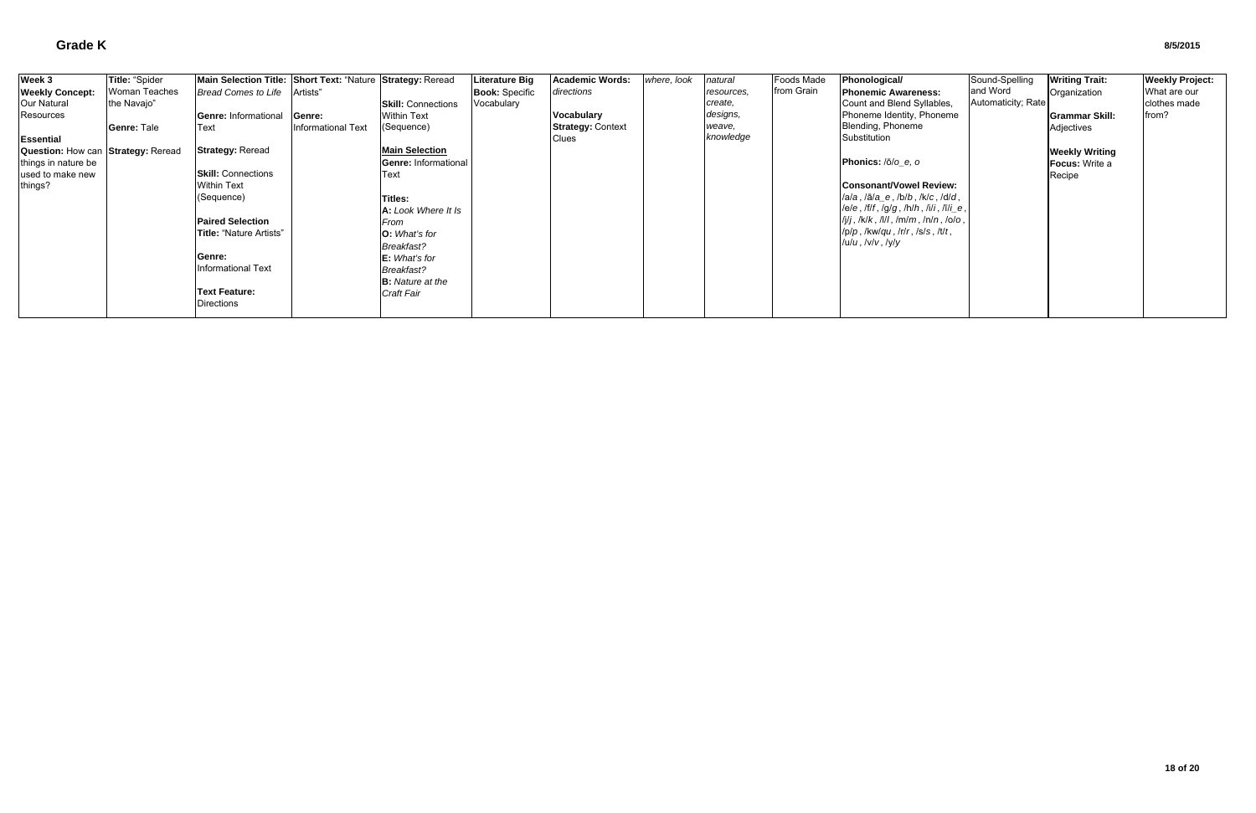| Week 3                             | Title: "Spider | Main Selection Title: Short Text: "Nature Strategy: Reread |                    |                           | <b>Literature Big</b> | <b>Academic Words:</b>   | where, look | natural    | <b>Foods Made</b> | Phonological/                                                             | Sound-Spelling     | <b>Writing Trait:</b> | <b>Weekly Project:</b> |
|------------------------------------|----------------|------------------------------------------------------------|--------------------|---------------------------|-----------------------|--------------------------|-------------|------------|-------------------|---------------------------------------------------------------------------|--------------------|-----------------------|------------------------|
| <b>Weekly Concept:</b>             | Woman Teaches  | <b>Bread Comes to Life</b>                                 | Artists"           |                           | <b>Book: Specific</b> | directions               |             | resources, | from Grain        | <b>Phonemic Awareness:</b>                                                | and Word           | Organization          | What are our           |
| Our Natural                        | the Navajo"    |                                                            |                    | <b>Skill: Connections</b> | Vocabulary            |                          |             | create,    |                   | Count and Blend Syllables,                                                | Automaticity; Rate |                       | clothes made           |
| Resources                          |                | <b>Genre: Informational</b>                                | Genre:             | <b>Within Text</b>        |                       | Vocabulary               |             | designs,   |                   | Phoneme Identity, Phoneme                                                 |                    | <b>Grammar Skill:</b> | from?                  |
|                                    | Genre: Tale    | <b>IText</b>                                               | Informational Text | (Sequence)                |                       | <b>Strategy: Context</b> |             | weave,     |                   | Blending, Phoneme                                                         |                    | Adjectives            |                        |
| <b>Essential</b>                   |                |                                                            |                    |                           |                       | <b>Clues</b>             |             | knowledge  |                   | Substitution                                                              |                    |                       |                        |
| Question: How can Strategy: Reread |                | <b>Strategy: Reread</b>                                    |                    | <b>Main Selection</b>     |                       |                          |             |            |                   |                                                                           |                    | <b>Weekly Writing</b> |                        |
| things in nature be                |                |                                                            |                    | Genre: Informational      |                       |                          |             |            |                   | Phonics: $\sqrt{O/O}$ e, o                                                |                    | <b>Focus:</b> Write a |                        |
| used to make new                   |                | <b>Skill:</b> Connections                                  |                    | Text                      |                       |                          |             |            |                   |                                                                           |                    | Recipe                |                        |
| things?                            |                | <b>Within Text</b>                                         |                    |                           |                       |                          |             |            |                   | <b>Consonant/Vowel Review:</b>                                            |                    |                       |                        |
|                                    |                | (Sequence)                                                 |                    | <b>Titles:</b>            |                       |                          |             |            |                   | $ a/a, \overline{a}/a_e, \overline{b}/b, \overline{b}/c, \overline{d}/d,$ |                    |                       |                        |
|                                    |                |                                                            |                    | A: Look Where It Is       |                       |                          |             |            |                   | $ e/e, f/f, fg/g, h/h, Iili, Iili_e,$                                     |                    |                       |                        |
|                                    |                | <b>Paired Selection</b>                                    |                    | From                      |                       |                          |             |            |                   | $ I_j $ j, /k/k, /l/l, /m/m, /n/n, /o/o,                                  |                    |                       |                        |
|                                    |                | Title: "Nature Artists"                                    |                    | <b>O:</b> What's for      |                       |                          |             |            |                   | $/p/p$ , /kw/qu, /r/r, /s/s, /t/t,                                        |                    |                       |                        |
|                                    |                |                                                            |                    | <b>Breakfast?</b>         |                       |                          |             |            |                   | /u/ <i>u</i> , /v/ <i>v</i> , /y/ <i>y</i>                                |                    |                       |                        |
|                                    |                | Genre:                                                     |                    | E: What's for             |                       |                          |             |            |                   |                                                                           |                    |                       |                        |
|                                    |                | Informational Text                                         |                    | <b>Breakfast?</b>         |                       |                          |             |            |                   |                                                                           |                    |                       |                        |
|                                    |                |                                                            |                    | <b>B:</b> Nature at the   |                       |                          |             |            |                   |                                                                           |                    |                       |                        |
|                                    |                | <b>Text Feature:</b>                                       |                    | <b>Craft Fair</b>         |                       |                          |             |            |                   |                                                                           |                    |                       |                        |
|                                    |                | Directions                                                 |                    |                           |                       |                          |             |            |                   |                                                                           |                    |                       |                        |
|                                    |                |                                                            |                    |                           |                       |                          |             |            |                   |                                                                           |                    |                       |                        |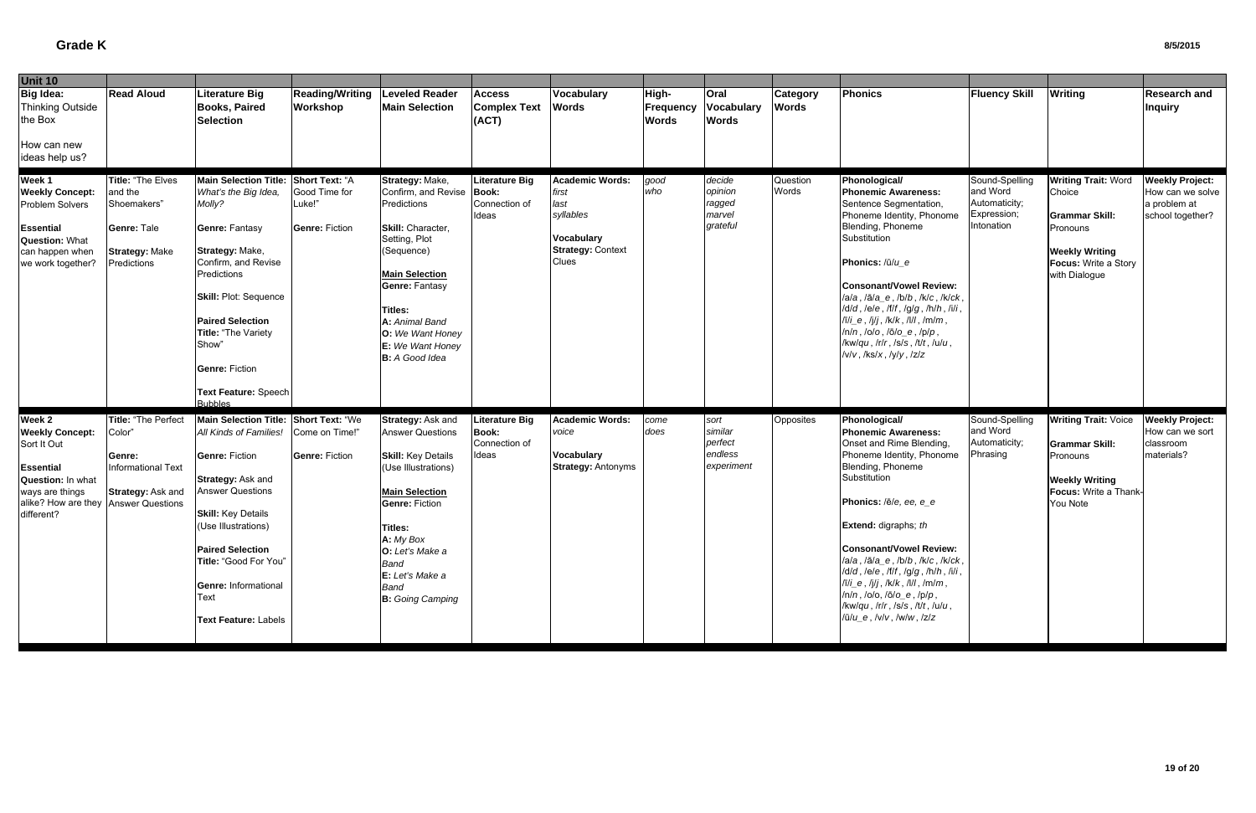| <b>Unit 10</b>                                                                                                                                   |                                                                                                                      |                                                                                                                                                                                                                                                                                                                        |                                                  |                                                                                                                                                                                                                                                                    |                                                                 |                                                                                                  |                                    |                                                     |                          |                                                                                                                                                                                                                                                                                                                                                                                                                                                                                                                    |                                                                          |                                                                                                                                             |                                                                                |
|--------------------------------------------------------------------------------------------------------------------------------------------------|----------------------------------------------------------------------------------------------------------------------|------------------------------------------------------------------------------------------------------------------------------------------------------------------------------------------------------------------------------------------------------------------------------------------------------------------------|--------------------------------------------------|--------------------------------------------------------------------------------------------------------------------------------------------------------------------------------------------------------------------------------------------------------------------|-----------------------------------------------------------------|--------------------------------------------------------------------------------------------------|------------------------------------|-----------------------------------------------------|--------------------------|--------------------------------------------------------------------------------------------------------------------------------------------------------------------------------------------------------------------------------------------------------------------------------------------------------------------------------------------------------------------------------------------------------------------------------------------------------------------------------------------------------------------|--------------------------------------------------------------------------|---------------------------------------------------------------------------------------------------------------------------------------------|--------------------------------------------------------------------------------|
| <b>Big Idea:</b><br>Thinking Outside<br>the Box                                                                                                  | <b>Read Aloud</b>                                                                                                    | Literature Big<br><b>Books, Paired</b><br>Selection                                                                                                                                                                                                                                                                    | <b>Reading/Writing</b><br><b>Workshop</b>        | <b>Leveled Reader</b><br><b>Main Selection</b>                                                                                                                                                                                                                     | <b>Access</b><br><b>Complex Text</b><br>(ACT)                   | Vocabulary<br><b>Words</b>                                                                       | High-<br>Frequency<br><b>Words</b> | Oral<br>Vocabulary<br><b>Words</b>                  | Category<br><b>Words</b> | Phonics                                                                                                                                                                                                                                                                                                                                                                                                                                                                                                            | <b>Fluency Skill</b>                                                     | <b>Writing</b>                                                                                                                              | <b>Research and</b><br><b>Inquiry</b>                                          |
| How can new<br>ideas help us?                                                                                                                    |                                                                                                                      |                                                                                                                                                                                                                                                                                                                        |                                                  |                                                                                                                                                                                                                                                                    |                                                                 |                                                                                                  |                                    |                                                     |                          |                                                                                                                                                                                                                                                                                                                                                                                                                                                                                                                    |                                                                          |                                                                                                                                             |                                                                                |
| Week 1<br><b>Weekly Concept:</b><br>Problem Solvers<br><b>Essential</b><br><b>Question: What</b><br>can happen when<br>we work together?         | <b>Title: "The Elves</b><br>and the<br>Shoemakers"<br><b>Genre: Tale</b><br><b>Strategy: Make</b><br>Predictions     | Main Selection Title: Short Text: "A<br>What's the Big Idea,<br>Molly?<br><b>Genre: Fantasy</b><br>Strategy: Make,<br>Confirm, and Revise<br>Predictions<br><b>Skill: Plot: Sequence</b><br><b>Paired Selection</b><br>Title: "The Variety<br>Show"<br><b>Genre: Fiction</b><br>Text Feature: Speech<br><b>Bubbles</b> | Good Time for<br>Luke!"<br><b>Genre: Fiction</b> | Strategy: Make,<br>Confirm, and Revise Book:<br>Predictions<br>Skill: Character,<br>Setting, Plot<br>(Sequence)<br><b>Main Selection</b><br><b>Genre: Fantasy</b><br>Titles:<br>A: Animal Band<br>O: We Want Honey<br>E: We Want Honey<br><b>B:</b> A Good Idea    | <b>Literature Big</b><br>Connection of<br>Ideas                 | Academic Words:<br>first<br>last<br>syllables<br>Vocabulary<br><b>Strategy: Context</b><br>Clues | good<br>who                        | decide<br>opinion<br>ragged<br>marvel<br>grateful   | Question<br>Words        | Phonological/<br><b>Phonemic Awareness:</b><br>Sentence Segmentation,<br>Phoneme Identity, Phonome<br>Blending, Phoneme<br>Substitution<br>Phonics: /ū/u_e<br><b>Consonant/Vowel Review:</b><br>/a/a, /ā/a_e, /b/b, /k/c, /k/ck,<br>$/d/d$ , $/ele$ , $/ff$ , $/g/g$ , $/h/h$ , $/ili$ ,<br>$\pi$ i_e, /j/j, /k/k, /l/l, /m/m,<br>$ln/n,$ $/olo,$ $/ō/o_e,$ $/p/p,$<br>$/kw/qu$ , $lrlr$ , $lsls$ , $lltt$ , $lulu$ ,<br>/v/v, /ks/x, /y/y, /z/z                                                                   | Sound-Spelling<br>and Word<br>Automaticity;<br>Expression;<br>Intonation | <b>Writing Trait: Word</b><br>Choice<br><b>Grammar Skill:</b><br>Pronouns<br><b>Weekly Writing</b><br>Focus: Write a Story<br>with Dialogue | <b>Weekly Project:</b><br>How can we solve<br>a problem at<br>school together? |
| Week 2<br><b>Weekly Concept:</b><br>Sort It Out<br><b>Essential</b><br>Question: In what<br>ways are things<br>alike? How are they<br>different? | Title: "The Perfect<br>Color"<br>Genre:<br><b>Informational Text</b><br>Strategy: Ask and<br><b>Answer Questions</b> | Main Selection Title: Short Text: "We<br>All Kinds of Families!<br><b>Genre: Fiction</b><br>Strategy: Ask and<br><b>Answer Questions</b><br><b>Skill:</b> Key Details<br>(Use Illustrations)<br><b>Paired Selection</b><br>Title: "Good For You"<br><b>Genre: Informational</b><br>Text<br><b>Text Feature: Labels</b> | Come on Time!"<br><b>Genre: Fiction</b>          | Strategy: Ask and<br><b>Answer Questions</b><br><b>Skill: Key Details</b><br>(Use Illustrations)<br><b>Main Selection</b><br><b>Genre: Fiction</b><br>Titles:<br>A: My Box<br>O: Let's Make a<br>Band<br>E: Let's Make a<br><b>Band</b><br><b>B:</b> Going Camping | <b>Literature Big</b><br><b>Book:</b><br>Connection of<br>Ideas | <b>Academic Words:</b><br>voice<br>Vocabulary<br><b>Strategy: Antonyms</b>                       | come<br>does                       | sort<br>similar<br>perfect<br>endless<br>experiment | Opposites                | Phonological/<br><b>Phonemic Awareness:</b><br>Onset and Rime Blending,<br>Phoneme Identity, Phonome<br>Blending, Phoneme<br>Substitution<br>Phonics: /ē/e, ee, e_e<br>Extend: digraphs; th<br>Consonant/Vowel Review:<br>/a/a, /ā/a_e, /b/b, /k/c, /k/ck,<br>$/d/d$ , $/el$ e, $/lf$ , $lg/g$ , $/h/h$ , $/il$ ,<br>$\pi$ i_e, /j/j, /k/k, /l/l, /m/m,<br>$ln/n$ , $lo$ , $lo$ , $lo$ , $lo$ , $e$ , $lp/p$ ,<br>/kw/qu, /r/r, /s/s, /t/t, /u/u,<br>$/\bar{u}/u_{-}e$ , $/\sqrt{v}$ , $/\sqrt{w}$ , $/\sqrt{z}/z$ | Sound-Spelling<br>and Word<br>Automaticity;<br>Phrasing                  | <b>Writing Trait: Voice</b><br><b>Grammar Skill:</b><br>Pronouns<br><b>Weekly Writing</b><br>Focus: Write a Thank-<br>You Note              | <b>Weekly Project:</b><br>How can we sort<br>classroom<br>materials?           |